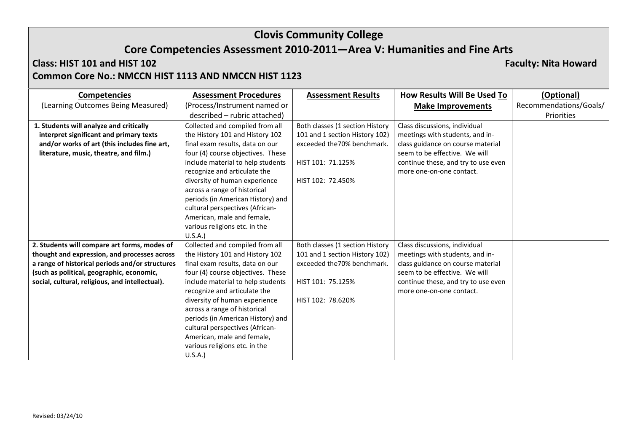# **Core Competencies Assessment 2010-2011—Area V: Humanities and Fine Arts**

## **Class: HIST 101 and HIST 102 Faculty: Nita Howard**

## **Common Core No.: NMCCN HIST 1113 AND NMCCN HIST 1123**

| <b>Competencies</b>                             | <b>Assessment Procedures</b>      | <b>Assessment Results</b>       | How Results Will Be Used To         | (Optional)             |
|-------------------------------------------------|-----------------------------------|---------------------------------|-------------------------------------|------------------------|
| (Learning Outcomes Being Measured)              | (Process/Instrument named or      |                                 | <b>Make Improvements</b>            | Recommendations/Goals/ |
|                                                 | described - rubric attached)      |                                 |                                     | Priorities             |
| 1. Students will analyze and critically         | Collected and compiled from all   | Both classes (1 section History | Class discussions, individual       |                        |
| interpret significant and primary texts         | the History 101 and History 102   | 101 and 1 section History 102)  | meetings with students, and in-     |                        |
| and/or works of art (this includes fine art,    | final exam results, data on our   | exceeded the 70% benchmark.     | class guidance on course material   |                        |
| literature, music, theatre, and film.)          | four (4) course objectives. These |                                 | seem to be effective. We will       |                        |
|                                                 | include material to help students | HIST 101: 71.125%               | continue these, and try to use even |                        |
|                                                 | recognize and articulate the      |                                 | more one-on-one contact.            |                        |
|                                                 | diversity of human experience     | HIST 102: 72.450%               |                                     |                        |
|                                                 | across a range of historical      |                                 |                                     |                        |
|                                                 | periods (in American History) and |                                 |                                     |                        |
|                                                 | cultural perspectives (African-   |                                 |                                     |                        |
|                                                 | American, male and female,        |                                 |                                     |                        |
|                                                 | various religions etc. in the     |                                 |                                     |                        |
|                                                 | U.S.A.                            |                                 |                                     |                        |
| 2. Students will compare art forms, modes of    | Collected and compiled from all   | Both classes (1 section History | Class discussions, individual       |                        |
| thought and expression, and processes across    | the History 101 and History 102   | 101 and 1 section History 102)  | meetings with students, and in-     |                        |
| a range of historical periods and/or structures | final exam results, data on our   | exceeded the 70% benchmark.     | class guidance on course material   |                        |
| (such as political, geographic, economic,       | four (4) course objectives. These |                                 | seem to be effective. We will       |                        |
| social, cultural, religious, and intellectual). | include material to help students | HIST 101: 75.125%               | continue these, and try to use even |                        |
|                                                 | recognize and articulate the      |                                 | more one-on-one contact.            |                        |
|                                                 | diversity of human experience     | HIST 102: 78.620%               |                                     |                        |
|                                                 | across a range of historical      |                                 |                                     |                        |
|                                                 | periods (in American History) and |                                 |                                     |                        |
|                                                 | cultural perspectives (African-   |                                 |                                     |                        |
|                                                 | American, male and female,        |                                 |                                     |                        |
|                                                 | various religions etc. in the     |                                 |                                     |                        |
|                                                 | U.S.A.                            |                                 |                                     |                        |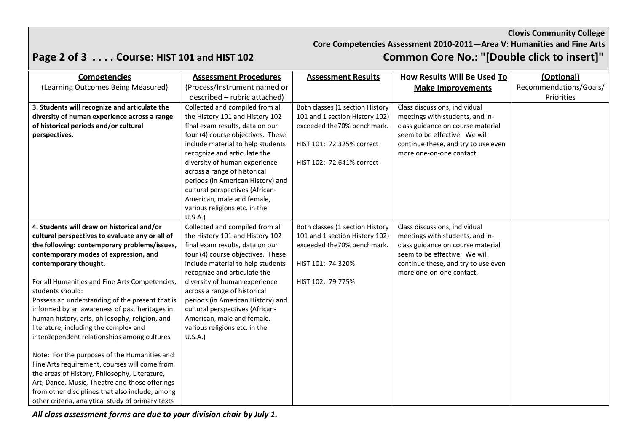**Core Competencies Assessment 2010-2011—Area V: Humanities and Fine Arts**

# **Page 2 of 3 . . . . Course: HIST 101 and HIST 102 Common Core No.: "[Double click to insert]"**

| <b>Competencies</b>                               | <b>Assessment Procedures</b>      | <b>Assessment Results</b>       | How Results Will Be Used To         | (Optional)             |
|---------------------------------------------------|-----------------------------------|---------------------------------|-------------------------------------|------------------------|
| (Learning Outcomes Being Measured)                | (Process/Instrument named or      |                                 | <b>Make Improvements</b>            | Recommendations/Goals/ |
|                                                   | described - rubric attached)      |                                 |                                     | Priorities             |
| 3. Students will recognize and articulate the     | Collected and compiled from all   | Both classes (1 section History | Class discussions, individual       |                        |
| diversity of human experience across a range      | the History 101 and History 102   | 101 and 1 section History 102)  | meetings with students, and in-     |                        |
| of historical periods and/or cultural             | final exam results, data on our   | exceeded the 70% benchmark.     | class guidance on course material   |                        |
| perspectives.                                     | four (4) course objectives. These |                                 | seem to be effective. We will       |                        |
|                                                   | include material to help students | HIST 101: 72.325% correct       | continue these, and try to use even |                        |
|                                                   | recognize and articulate the      |                                 | more one-on-one contact.            |                        |
|                                                   | diversity of human experience     | HIST 102: 72.641% correct       |                                     |                        |
|                                                   | across a range of historical      |                                 |                                     |                        |
|                                                   | periods (in American History) and |                                 |                                     |                        |
|                                                   | cultural perspectives (African-   |                                 |                                     |                        |
|                                                   | American, male and female,        |                                 |                                     |                        |
|                                                   | various religions etc. in the     |                                 |                                     |                        |
|                                                   | U.S.A.                            |                                 |                                     |                        |
| 4. Students will draw on historical and/or        | Collected and compiled from all   | Both classes (1 section History | Class discussions, individual       |                        |
| cultural perspectives to evaluate any or all of   | the History 101 and History 102   | 101 and 1 section History 102)  | meetings with students, and in-     |                        |
| the following: contemporary problems/issues,      | final exam results, data on our   | exceeded the 70% benchmark.     | class guidance on course material   |                        |
| contemporary modes of expression, and             | four (4) course objectives. These |                                 | seem to be effective. We will       |                        |
| contemporary thought.                             | include material to help students | HIST 101: 74.320%               | continue these, and try to use even |                        |
|                                                   | recognize and articulate the      |                                 | more one-on-one contact.            |                        |
| For all Humanities and Fine Arts Competencies,    | diversity of human experience     | HIST 102: 79.775%               |                                     |                        |
| students should:                                  | across a range of historical      |                                 |                                     |                        |
| Possess an understanding of the present that is   | periods (in American History) and |                                 |                                     |                        |
| informed by an awareness of past heritages in     | cultural perspectives (African-   |                                 |                                     |                        |
| human history, arts, philosophy, religion, and    | American, male and female,        |                                 |                                     |                        |
| literature, including the complex and             | various religions etc. in the     |                                 |                                     |                        |
| interdependent relationships among cultures.      | U.S.A.                            |                                 |                                     |                        |
| Note: For the purposes of the Humanities and      |                                   |                                 |                                     |                        |
| Fine Arts requirement, courses will come from     |                                   |                                 |                                     |                        |
| the areas of History, Philosophy, Literature,     |                                   |                                 |                                     |                        |
| Art, Dance, Music, Theatre and those offerings    |                                   |                                 |                                     |                        |
| from other disciplines that also include, among   |                                   |                                 |                                     |                        |
| other criteria, analytical study of primary texts |                                   |                                 |                                     |                        |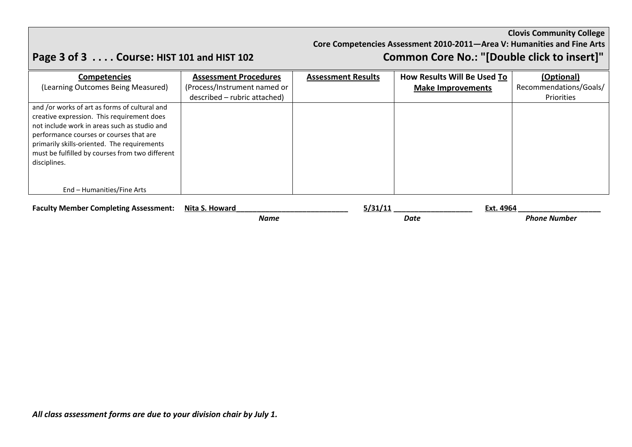### **Core Competencies Assessment 2010-2011—Area V: Humanities and Fine Arts**

# **Page 3 of 3 . . . . Course: HIST 101 and HIST 102 Common Core No.: "[Double click to insert]"**

| <b>Competencies</b>                                                                                                                                                                                                                                                                                      | <b>Assessment Procedures</b> | <b>Assessment Results</b> | How Results Will Be Used To | (Optional)             |
|----------------------------------------------------------------------------------------------------------------------------------------------------------------------------------------------------------------------------------------------------------------------------------------------------------|------------------------------|---------------------------|-----------------------------|------------------------|
| (Learning Outcomes Being Measured)                                                                                                                                                                                                                                                                       | (Process/Instrument named or |                           | <b>Make Improvements</b>    | Recommendations/Goals/ |
|                                                                                                                                                                                                                                                                                                          | described - rubric attached) |                           |                             | Priorities             |
| and /or works of art as forms of cultural and<br>creative expression. This requirement does<br>not include work in areas such as studio and<br>performance courses or courses that are<br>primarily skills-oriented. The requirements<br>must be fulfilled by courses from two different<br>disciplines. |                              |                           |                             |                        |
| End – Humanities/Fine Arts                                                                                                                                                                                                                                                                               |                              |                           |                             |                        |

| <b>Faculty Member Completing Assessment:</b> | Nita   | - 134 | 4964                     |
|----------------------------------------------|--------|-------|--------------------------|
|                                              | Howard | .     | Ext.                     |
|                                              | Name   | Date  | <b>Dhone</b><br>: Numbei |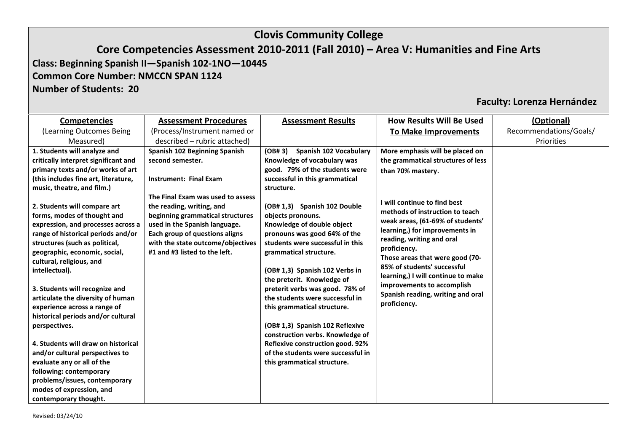# **Clovis Community College Core Competencies Assessment 2010-2011 (Fall 2010) – Area V: Humanities and Fine Arts Class: Beginning Spanish II—Spanish 102-1NO—10445 Common Core Number: NMCCN SPAN 1124 Number of Students: 20**

**Faculty: Lorenza Hernández** 

| <b>Competencies</b>                                                                                                                                                                                                                                                                                                                                                                                                                                                                                                                                       | <b>Assessment Procedures</b>                                                                                                                                                                                                                | <b>Assessment Results</b>                                                                                                                                                                                                                                                                                                                                                                                                                                                                                                          | <b>How Results Will Be Used</b>                                                                                                                                                                                                                                                                                                                                               | (Optional)             |
|-----------------------------------------------------------------------------------------------------------------------------------------------------------------------------------------------------------------------------------------------------------------------------------------------------------------------------------------------------------------------------------------------------------------------------------------------------------------------------------------------------------------------------------------------------------|---------------------------------------------------------------------------------------------------------------------------------------------------------------------------------------------------------------------------------------------|------------------------------------------------------------------------------------------------------------------------------------------------------------------------------------------------------------------------------------------------------------------------------------------------------------------------------------------------------------------------------------------------------------------------------------------------------------------------------------------------------------------------------------|-------------------------------------------------------------------------------------------------------------------------------------------------------------------------------------------------------------------------------------------------------------------------------------------------------------------------------------------------------------------------------|------------------------|
| (Learning Outcomes Being                                                                                                                                                                                                                                                                                                                                                                                                                                                                                                                                  | (Process/Instrument named or                                                                                                                                                                                                                |                                                                                                                                                                                                                                                                                                                                                                                                                                                                                                                                    | <b>To Make Improvements</b>                                                                                                                                                                                                                                                                                                                                                   | Recommendations/Goals/ |
| Measured)                                                                                                                                                                                                                                                                                                                                                                                                                                                                                                                                                 | described - rubric attached)                                                                                                                                                                                                                |                                                                                                                                                                                                                                                                                                                                                                                                                                                                                                                                    |                                                                                                                                                                                                                                                                                                                                                                               | Priorities             |
| 1. Students will analyze and                                                                                                                                                                                                                                                                                                                                                                                                                                                                                                                              | Spanish 102 Beginning Spanish                                                                                                                                                                                                               | <b>Spanish 102 Vocabulary</b><br>(OB# 3)                                                                                                                                                                                                                                                                                                                                                                                                                                                                                           | More emphasis will be placed on                                                                                                                                                                                                                                                                                                                                               |                        |
| critically interpret significant and                                                                                                                                                                                                                                                                                                                                                                                                                                                                                                                      | second semester.                                                                                                                                                                                                                            | Knowledge of vocabulary was                                                                                                                                                                                                                                                                                                                                                                                                                                                                                                        | the grammatical structures of less                                                                                                                                                                                                                                                                                                                                            |                        |
| primary texts and/or works of art                                                                                                                                                                                                                                                                                                                                                                                                                                                                                                                         |                                                                                                                                                                                                                                             | good. 79% of the students were                                                                                                                                                                                                                                                                                                                                                                                                                                                                                                     | than 70% mastery.                                                                                                                                                                                                                                                                                                                                                             |                        |
| (this includes fine art, literature,                                                                                                                                                                                                                                                                                                                                                                                                                                                                                                                      | <b>Instrument: Final Exam</b>                                                                                                                                                                                                               | successful in this grammatical                                                                                                                                                                                                                                                                                                                                                                                                                                                                                                     |                                                                                                                                                                                                                                                                                                                                                                               |                        |
| music, theatre, and film.)                                                                                                                                                                                                                                                                                                                                                                                                                                                                                                                                |                                                                                                                                                                                                                                             | structure.                                                                                                                                                                                                                                                                                                                                                                                                                                                                                                                         |                                                                                                                                                                                                                                                                                                                                                                               |                        |
| 2. Students will compare art<br>forms, modes of thought and<br>expression, and processes across a<br>range of historical periods and/or<br>structures (such as political,<br>geographic, economic, social,<br>cultural, religious, and<br>intellectual).<br>3. Students will recognize and<br>articulate the diversity of human<br>experience across a range of<br>historical periods and/or cultural<br>perspectives.<br>4. Students will draw on historical<br>and/or cultural perspectives to<br>evaluate any or all of the<br>following: contemporary | The Final Exam was used to assess<br>the reading, writing, and<br>beginning grammatical structures<br>used in the Spanish language.<br>Each group of questions aligns<br>with the state outcome/objectives<br>#1 and #3 listed to the left. | (OB# 1,3) Spanish 102 Double<br>objects pronouns.<br>Knowledge of double object<br>pronouns was good 64% of the<br>students were successful in this<br>grammatical structure.<br>(OB# 1,3) Spanish 102 Verbs in<br>the preterit. Knowledge of<br>preterit verbs was good. 78% of<br>the students were successful in<br>this grammatical structure.<br>(OB# 1,3) Spanish 102 Reflexive<br>construction verbs. Knowledge of<br>Reflexive construction good. 92%<br>of the students were successful in<br>this grammatical structure. | I will continue to find best<br>methods of instruction to teach<br>weak areas, (61-69% of students'<br>learning,) for improvements in<br>reading, writing and oral<br>proficiency.<br>Those areas that were good (70-<br>85% of students' successful<br>learning,) I will continue to make<br>improvements to accomplish<br>Spanish reading, writing and oral<br>proficiency. |                        |
| problems/issues, contemporary<br>modes of expression, and<br>contemporary thought.                                                                                                                                                                                                                                                                                                                                                                                                                                                                        |                                                                                                                                                                                                                                             |                                                                                                                                                                                                                                                                                                                                                                                                                                                                                                                                    |                                                                                                                                                                                                                                                                                                                                                                               |                        |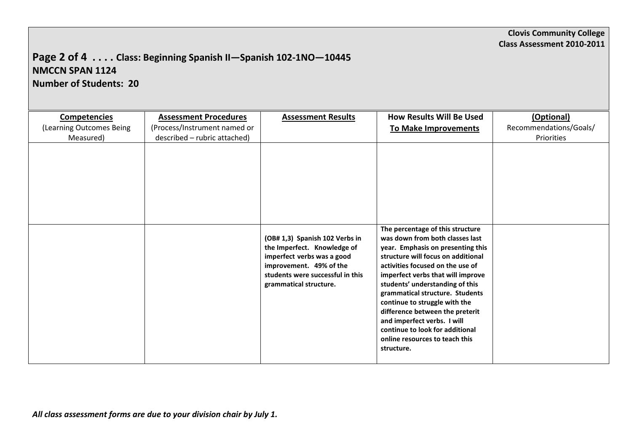## **Page 2 of 4 . . . . Class: Beginning Spanish II—Spanish 102-1NO—10445 NMCCN SPAN 1124 Number of Students: 20**

(Learning Outcomes Being Measured) **Competencies** (Process/Instrument named or described – rubric attached) **Assessment Procedures Assessment Results How Results Will Be Used To Make Improvements** | Recommendations/Goals/ **(Optional)** Priorities **(OB# 1,3) Spanish 102 Verbs in the Imperfect. Knowledge of imperfect verbs was a good improvement. 49% of the students were successful in this grammatical structure. The percentage of this structure was down from both classes last year. Emphasis on presenting this structure will focus on additional activities focused on the use of imperfect verbs that will improve students' understanding of this grammatical structure. Students continue to struggle with the difference between the preterit and imperfect verbs. I will continue to look for additional online resources to teach this structure.**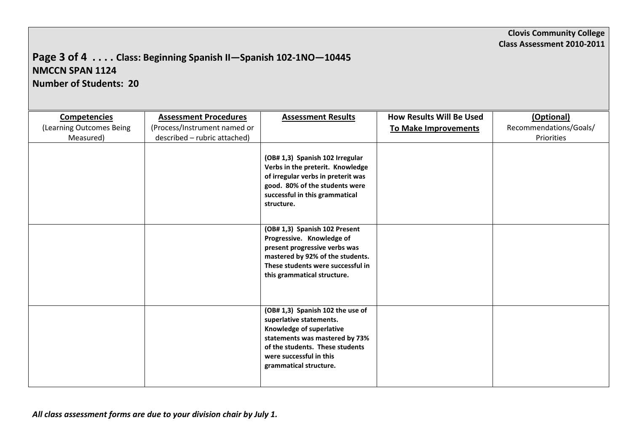## **Page 3 of 4 . . . . Class: Beginning Spanish II—Spanish 102-1NO—10445 NMCCN SPAN 1124 Number of Students: 20**

(Learning Outcomes Being Measured) **Competencies** (Process/Instrument named or described – rubric attached) **Assessment Procedures Assessment Results How Results Will Be Used To Make Improvements** | Recommendations/Goals/ **(Optional)** Priorities **(OB# 1,3) Spanish 102 Irregular Verbs in the preterit. Knowledge of irregular verbs in preterit was good. 80% of the students were successful in this grammatical structure. (OB# 1,3) Spanish 102 Present Progressive. Knowledge of present progressive verbs was mastered by 92% of the students. These students were successful in this grammatical structure. (OB# 1,3) Spanish 102 the use of superlative statements. Knowledge of superlative statements was mastered by 73% of the students. These students were successful in this grammatical structure.**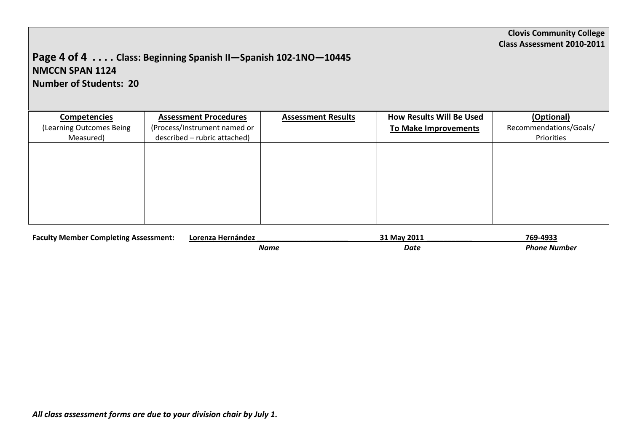## **Page 4 of 4 . . . . Class: Beginning Spanish II—Spanish 102-1NO—10445 NMCCN SPAN 1124 Number of Students: 20**

(Learning Outcomes Being Measured) **Competencies** (Process/Instrument named or described – rubric attached) **Assessment Procedures | Assessment Results | How Results Will Be Used To Make Improvements** Recommendations/Goals/ **(Optional)** Priorities

| <b>Faculty Member Completing Assessment:</b> | Lorenza Hernandez | 2011<br>Mav | -4933<br>760<br>.<br>-ט |
|----------------------------------------------|-------------------|-------------|-------------------------|
|                                              | Name              | Date        | <b>Phone Number</b>     |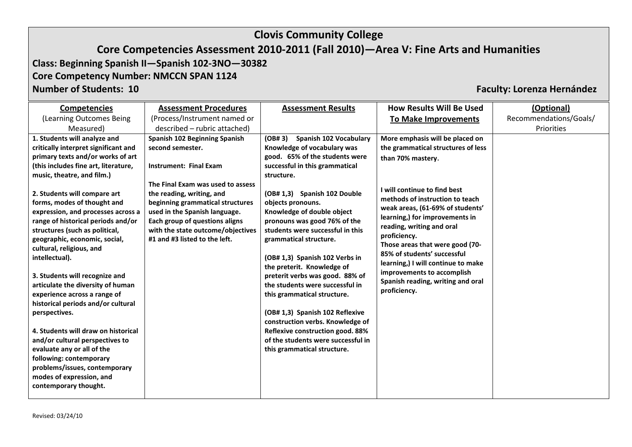**Core Competencies Assessment 2010-2011 (Fall 2010)—Area V: Fine Arts and Humanities**

**Class: Beginning Spanish II—Spanish 102-3NO—30382** 

**Core Competency Number: NMCCN SPAN 1124**

**Number of Students: 10 Faculty: Lorenza Hernández** 

| <b>Competencies</b>                                                  | <b>Assessment Procedures</b>                                        | <b>Assessment Results</b>                                        | <b>How Results Will Be Used</b>    | (Optional)             |
|----------------------------------------------------------------------|---------------------------------------------------------------------|------------------------------------------------------------------|------------------------------------|------------------------|
| (Learning Outcomes Being                                             | (Process/Instrument named or                                        |                                                                  | <b>To Make Improvements</b>        | Recommendations/Goals/ |
| Measured)                                                            | described - rubric attached)                                        |                                                                  |                                    | Priorities             |
| 1. Students will analyze and                                         | Spanish 102 Beginning Spanish                                       | Spanish 102 Vocabulary<br>(OB# 3)                                | More emphasis will be placed on    |                        |
| critically interpret significant and                                 | second semester.                                                    | Knowledge of vocabulary was                                      | the grammatical structures of less |                        |
| primary texts and/or works of art                                    |                                                                     | good. 65% of the students were                                   | than 70% mastery.                  |                        |
| (this includes fine art, literature,                                 | <b>Instrument: Final Exam</b>                                       | successful in this grammatical                                   |                                    |                        |
| music, theatre, and film.)                                           |                                                                     | structure.                                                       |                                    |                        |
|                                                                      | The Final Exam was used to assess                                   |                                                                  | I will continue to find best       |                        |
| 2. Students will compare art                                         | the reading, writing, and                                           | (OB# 1,3) Spanish 102 Double                                     | methods of instruction to teach    |                        |
| forms, modes of thought and                                          | beginning grammatical structures                                    | objects pronouns.                                                | weak areas, (61-69% of students'   |                        |
| expression, and processes across a                                   | used in the Spanish language.                                       | Knowledge of double object                                       | learning,) for improvements in     |                        |
| range of historical periods and/or<br>structures (such as political, | Each group of questions aligns<br>with the state outcome/objectives | pronouns was good 76% of the<br>students were successful in this | reading, writing and oral          |                        |
| geographic, economic, social,                                        | #1 and #3 listed to the left.                                       | grammatical structure.                                           | proficiency.                       |                        |
| cultural, religious, and                                             |                                                                     |                                                                  | Those areas that were good (70-    |                        |
| intellectual).                                                       |                                                                     | (OB# 1,3) Spanish 102 Verbs in                                   | 85% of students' successful        |                        |
|                                                                      |                                                                     | the preterit. Knowledge of                                       | learning,) I will continue to make |                        |
| 3. Students will recognize and                                       |                                                                     | preterit verbs was good. 88% of                                  | improvements to accomplish         |                        |
| articulate the diversity of human                                    |                                                                     | the students were successful in                                  | Spanish reading, writing and oral  |                        |
| experience across a range of                                         |                                                                     | this grammatical structure.                                      | proficiency.                       |                        |
| historical periods and/or cultural                                   |                                                                     |                                                                  |                                    |                        |
| perspectives.                                                        |                                                                     | (OB# 1,3) Spanish 102 Reflexive                                  |                                    |                        |
|                                                                      |                                                                     | construction verbs. Knowledge of                                 |                                    |                        |
| 4. Students will draw on historical                                  |                                                                     | Reflexive construction good. 88%                                 |                                    |                        |
| and/or cultural perspectives to                                      |                                                                     | of the students were successful in                               |                                    |                        |
| evaluate any or all of the                                           |                                                                     | this grammatical structure.                                      |                                    |                        |
| following: contemporary                                              |                                                                     |                                                                  |                                    |                        |
| problems/issues, contemporary                                        |                                                                     |                                                                  |                                    |                        |
| modes of expression, and                                             |                                                                     |                                                                  |                                    |                        |
| contemporary thought.                                                |                                                                     |                                                                  |                                    |                        |
|                                                                      |                                                                     |                                                                  |                                    |                        |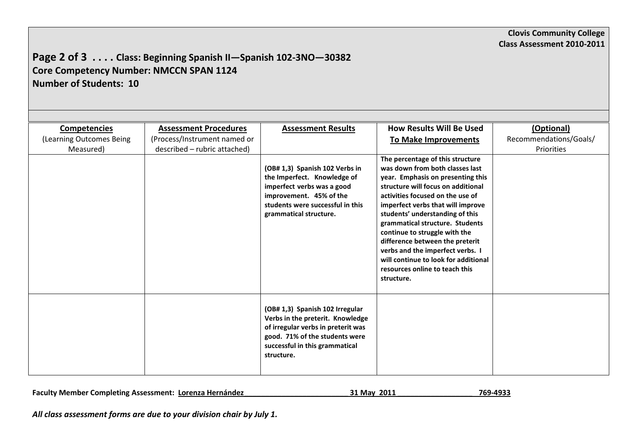## **Page 2 of 3 . . . . Class: Beginning Spanish II—Spanish 102-3NO—30382 Core Competency Number: NMCCN SPAN 1124 Number of Students: 10**

| <b>Competencies</b>      | <b>Assessment Procedures</b> | <b>Assessment Results</b>                                                                                                                                                                   | <b>How Results Will Be Used</b>                                                                                                                                                                                                                                                                                                                                                                                                                                                               | (Optional)             |
|--------------------------|------------------------------|---------------------------------------------------------------------------------------------------------------------------------------------------------------------------------------------|-----------------------------------------------------------------------------------------------------------------------------------------------------------------------------------------------------------------------------------------------------------------------------------------------------------------------------------------------------------------------------------------------------------------------------------------------------------------------------------------------|------------------------|
| (Learning Outcomes Being | (Process/Instrument named or |                                                                                                                                                                                             | <b>To Make Improvements</b>                                                                                                                                                                                                                                                                                                                                                                                                                                                                   | Recommendations/Goals/ |
| Measured)                | described - rubric attached) |                                                                                                                                                                                             |                                                                                                                                                                                                                                                                                                                                                                                                                                                                                               | Priorities             |
|                          |                              | (OB# 1,3) Spanish 102 Verbs in<br>the Imperfect. Knowledge of<br>imperfect verbs was a good<br>improvement. 45% of the<br>students were successful in this<br>grammatical structure.        | The percentage of this structure<br>was down from both classes last<br>year. Emphasis on presenting this<br>structure will focus on additional<br>activities focused on the use of<br>imperfect verbs that will improve<br>students' understanding of this<br>grammatical structure. Students<br>continue to struggle with the<br>difference between the preterit<br>verbs and the imperfect verbs. I<br>will continue to look for additional<br>resources online to teach this<br>structure. |                        |
|                          |                              | (OB# 1,3) Spanish 102 Irregular<br>Verbs in the preterit. Knowledge<br>of irregular verbs in preterit was<br>good. 71% of the students were<br>successful in this grammatical<br>structure. |                                                                                                                                                                                                                                                                                                                                                                                                                                                                                               |                        |

|  |  | Faculty Member Completing Assessment: Lorenza Hernández |
|--|--|---------------------------------------------------------|
|  |  |                                                         |

**Faculty Member Completing Assessment: Lorenza Hernández\_\_\_\_\_\_\_\_\_\_\_\_\_\_\_\_\_\_\_\_\_\_\_\_\_ 31 May 2011 \_\_\_\_\_\_\_\_\_\_\_\_\_\_\_\_\_\_ 769-4933**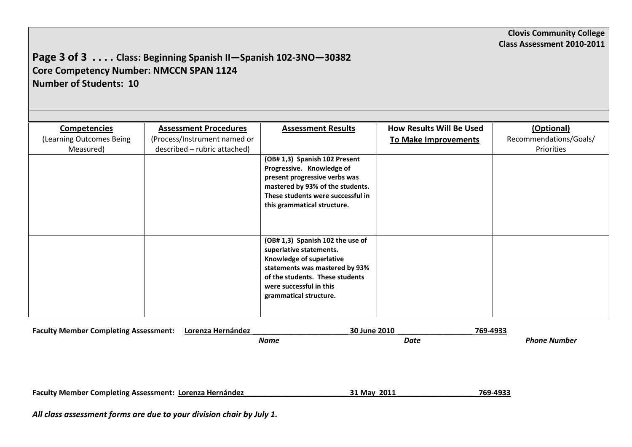## **Page 3 of 3 . . . . Class: Beginning Spanish II—Spanish 102-3NO—30382 Core Competency Number: NMCCN SPAN 1124 Number of Students: 10**

| <b>Competencies</b>      | <b>Assessment Procedures</b> | <b>Assessment Results</b>         | <b>How Results Will Be Used</b> | (Optional)             |
|--------------------------|------------------------------|-----------------------------------|---------------------------------|------------------------|
| (Learning Outcomes Being | (Process/Instrument named or |                                   | To Make Improvements            | Recommendations/Goals/ |
| Measured)                | described - rubric attached) |                                   |                                 | <b>Priorities</b>      |
|                          |                              | (OB# 1,3) Spanish 102 Present     |                                 |                        |
|                          |                              | Progressive. Knowledge of         |                                 |                        |
|                          |                              | present progressive verbs was     |                                 |                        |
|                          |                              | mastered by 93% of the students.  |                                 |                        |
|                          |                              | These students were successful in |                                 |                        |
|                          |                              | this grammatical structure.       |                                 |                        |
|                          |                              |                                   |                                 |                        |
|                          |                              |                                   |                                 |                        |
|                          |                              | (OB# 1,3) Spanish 102 the use of  |                                 |                        |
|                          |                              | superlative statements.           |                                 |                        |
|                          |                              | Knowledge of superlative          |                                 |                        |
|                          |                              | statements was mastered by 93%    |                                 |                        |
|                          |                              | of the students. These students   |                                 |                        |
|                          |                              | were successful in this           |                                 |                        |
|                          |                              | grammatical structure.            |                                 |                        |
|                          |                              |                                   |                                 |                        |
|                          |                              |                                   |                                 |                        |

| <b>Faculty Member Completing Assessment:</b>            | Lorenza Hernández | 30 June 2010 | 769-4933 |                     |
|---------------------------------------------------------|-------------------|--------------|----------|---------------------|
|                                                         | <b>Name</b>       |              | Date     | <b>Phone Number</b> |
|                                                         |                   |              |          |                     |
|                                                         |                   |              |          |                     |
|                                                         |                   |              |          |                     |
|                                                         |                   |              |          |                     |
| Faculty Member Completing Assessment: Lorenza Hernández |                   | 31 May 2011  | 769-4933 |                     |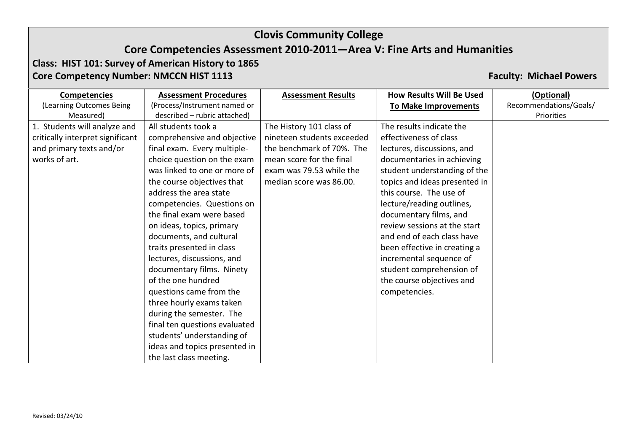# **Core Competencies Assessment 2010-2011—Area V: Fine Arts and Humanities**

**Class: HIST 101: Survey of American History to 1865 Core Competency Number: NMCCN HIST 1113 Faculty: Michael Powers Faculty: Michael Powers** 

| <b>Competencies</b>              | <b>Assessment Procedures</b>  | <b>Assessment Results</b>  | <b>How Results Will Be Used</b> | (Optional)             |
|----------------------------------|-------------------------------|----------------------------|---------------------------------|------------------------|
| (Learning Outcomes Being         | (Process/Instrument named or  |                            | <b>To Make Improvements</b>     | Recommendations/Goals/ |
| Measured)                        | described - rubric attached)  |                            |                                 | Priorities             |
| 1. Students will analyze and     | All students took a           | The History 101 class of   | The results indicate the        |                        |
| critically interpret significant | comprehensive and objective   | nineteen students exceeded | effectiveness of class          |                        |
| and primary texts and/or         | final exam. Every multiple-   | the benchmark of 70%. The  | lectures, discussions, and      |                        |
| works of art.                    | choice question on the exam   | mean score for the final   | documentaries in achieving      |                        |
|                                  | was linked to one or more of  | exam was 79.53 while the   | student understanding of the    |                        |
|                                  | the course objectives that    | median score was 86.00.    | topics and ideas presented in   |                        |
|                                  | address the area state        |                            | this course. The use of         |                        |
|                                  | competencies. Questions on    |                            | lecture/reading outlines,       |                        |
|                                  | the final exam were based     |                            | documentary films, and          |                        |
|                                  | on ideas, topics, primary     |                            | review sessions at the start    |                        |
|                                  | documents, and cultural       |                            | and end of each class have      |                        |
|                                  | traits presented in class     |                            | been effective in creating a    |                        |
|                                  | lectures, discussions, and    |                            | incremental sequence of         |                        |
|                                  | documentary films. Ninety     |                            | student comprehension of        |                        |
|                                  | of the one hundred            |                            | the course objectives and       |                        |
|                                  | questions came from the       |                            | competencies.                   |                        |
|                                  | three hourly exams taken      |                            |                                 |                        |
|                                  | during the semester. The      |                            |                                 |                        |
|                                  | final ten questions evaluated |                            |                                 |                        |
|                                  | students' understanding of    |                            |                                 |                        |
|                                  | ideas and topics presented in |                            |                                 |                        |
|                                  | the last class meeting.       |                            |                                 |                        |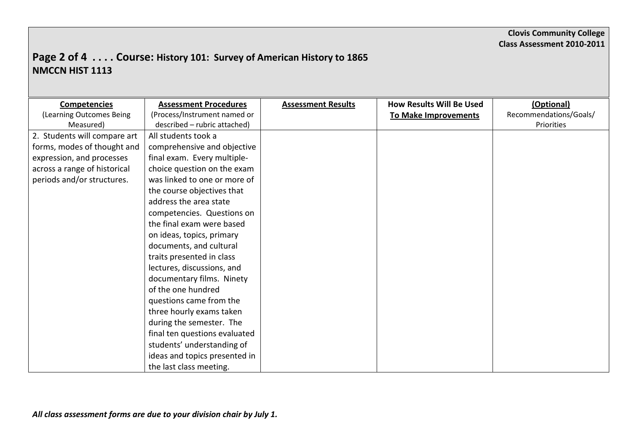# **Page 2 of 4 . . . . Course: History 101: Survey of American History to 1865 NMCCN HIST 1113**

| <b>Competencies</b>          | <b>Assessment Procedures</b>  | <b>Assessment Results</b> | <b>How Results Will Be Used</b> | (Optional)             |
|------------------------------|-------------------------------|---------------------------|---------------------------------|------------------------|
| (Learning Outcomes Being     | (Process/Instrument named or  |                           | <b>To Make Improvements</b>     | Recommendations/Goals/ |
| Measured)                    | described - rubric attached)  |                           |                                 | Priorities             |
| 2. Students will compare art | All students took a           |                           |                                 |                        |
| forms, modes of thought and  | comprehensive and objective   |                           |                                 |                        |
| expression, and processes    | final exam. Every multiple-   |                           |                                 |                        |
| across a range of historical | choice question on the exam   |                           |                                 |                        |
| periods and/or structures.   | was linked to one or more of  |                           |                                 |                        |
|                              | the course objectives that    |                           |                                 |                        |
|                              | address the area state        |                           |                                 |                        |
|                              | competencies. Questions on    |                           |                                 |                        |
|                              | the final exam were based     |                           |                                 |                        |
|                              | on ideas, topics, primary     |                           |                                 |                        |
|                              | documents, and cultural       |                           |                                 |                        |
|                              | traits presented in class     |                           |                                 |                        |
|                              | lectures, discussions, and    |                           |                                 |                        |
|                              | documentary films. Ninety     |                           |                                 |                        |
|                              | of the one hundred            |                           |                                 |                        |
|                              | questions came from the       |                           |                                 |                        |
|                              | three hourly exams taken      |                           |                                 |                        |
|                              | during the semester. The      |                           |                                 |                        |
|                              | final ten questions evaluated |                           |                                 |                        |
|                              | students' understanding of    |                           |                                 |                        |
|                              | ideas and topics presented in |                           |                                 |                        |
|                              | the last class meeting.       |                           |                                 |                        |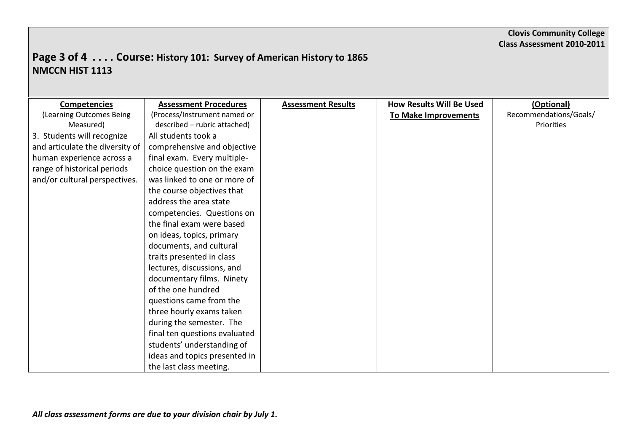# **Page 3 of 4 . . . . Course: History 101: Survey of American History to 1865 NMCCN HIST 1113**

| <b>Competencies</b>             | <b>Assessment Procedures</b>  | <b>Assessment Results</b> | <b>How Results Will Be Used</b> | (Optional)             |
|---------------------------------|-------------------------------|---------------------------|---------------------------------|------------------------|
| (Learning Outcomes Being        | (Process/Instrument named or  |                           | <b>To Make Improvements</b>     | Recommendations/Goals/ |
| Measured)                       | described - rubric attached)  |                           |                                 | Priorities             |
| 3. Students will recognize      | All students took a           |                           |                                 |                        |
| and articulate the diversity of | comprehensive and objective   |                           |                                 |                        |
| human experience across a       | final exam. Every multiple-   |                           |                                 |                        |
| range of historical periods     | choice question on the exam   |                           |                                 |                        |
| and/or cultural perspectives.   | was linked to one or more of  |                           |                                 |                        |
|                                 | the course objectives that    |                           |                                 |                        |
|                                 | address the area state        |                           |                                 |                        |
|                                 | competencies. Questions on    |                           |                                 |                        |
|                                 | the final exam were based     |                           |                                 |                        |
|                                 | on ideas, topics, primary     |                           |                                 |                        |
|                                 | documents, and cultural       |                           |                                 |                        |
|                                 | traits presented in class     |                           |                                 |                        |
|                                 | lectures, discussions, and    |                           |                                 |                        |
|                                 | documentary films. Ninety     |                           |                                 |                        |
|                                 | of the one hundred            |                           |                                 |                        |
|                                 | questions came from the       |                           |                                 |                        |
|                                 | three hourly exams taken      |                           |                                 |                        |
|                                 | during the semester. The      |                           |                                 |                        |
|                                 | final ten questions evaluated |                           |                                 |                        |
|                                 | students' understanding of    |                           |                                 |                        |
|                                 | ideas and topics presented in |                           |                                 |                        |
|                                 | the last class meeting.       |                           |                                 |                        |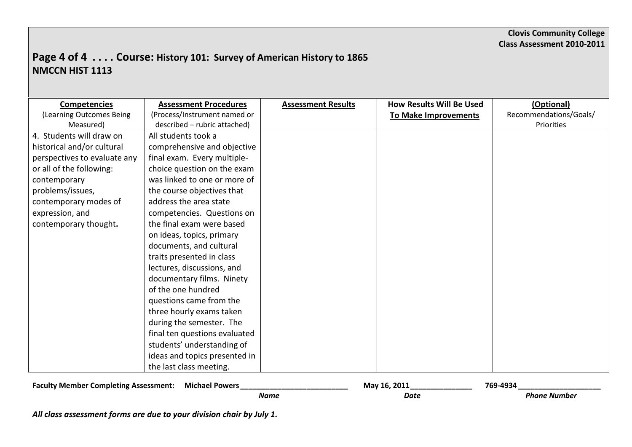# **Page 4 of 4 . . . . Course: History 101: Survey of American History to 1865 NMCCN HIST 1113**

| <b>Competencies</b>          | <b>Assessment Procedures</b>  | <b>Assessment Results</b> | <b>How Results Will Be Used</b> | (Optional)             |
|------------------------------|-------------------------------|---------------------------|---------------------------------|------------------------|
| (Learning Outcomes Being     | (Process/Instrument named or  |                           | <b>To Make Improvements</b>     | Recommendations/Goals/ |
| Measured)                    | described - rubric attached)  |                           |                                 | Priorities             |
| 4. Students will draw on     | All students took a           |                           |                                 |                        |
| historical and/or cultural   | comprehensive and objective   |                           |                                 |                        |
| perspectives to evaluate any | final exam. Every multiple-   |                           |                                 |                        |
| or all of the following:     | choice question on the exam   |                           |                                 |                        |
| contemporary                 | was linked to one or more of  |                           |                                 |                        |
| problems/issues,             | the course objectives that    |                           |                                 |                        |
| contemporary modes of        | address the area state        |                           |                                 |                        |
| expression, and              | competencies. Questions on    |                           |                                 |                        |
| contemporary thought.        | the final exam were based     |                           |                                 |                        |
|                              | on ideas, topics, primary     |                           |                                 |                        |
|                              | documents, and cultural       |                           |                                 |                        |
|                              | traits presented in class     |                           |                                 |                        |
|                              | lectures, discussions, and    |                           |                                 |                        |
|                              | documentary films. Ninety     |                           |                                 |                        |
|                              | of the one hundred            |                           |                                 |                        |
|                              | questions came from the       |                           |                                 |                        |
|                              | three hourly exams taken      |                           |                                 |                        |
|                              | during the semester. The      |                           |                                 |                        |
|                              | final ten questions evaluated |                           |                                 |                        |
|                              | students' understanding of    |                           |                                 |                        |
|                              | ideas and topics presented in |                           |                                 |                        |
|                              | the last class meeting.       |                           |                                 |                        |

| <b>Faculty Member Completing Assessment:</b> | <b>Michael Powers</b> | $201^{\circ}$<br>Mav | 769<br>-102/ |
|----------------------------------------------|-----------------------|----------------------|--------------|
|                                              | Name                  | Date                 | Phone Number |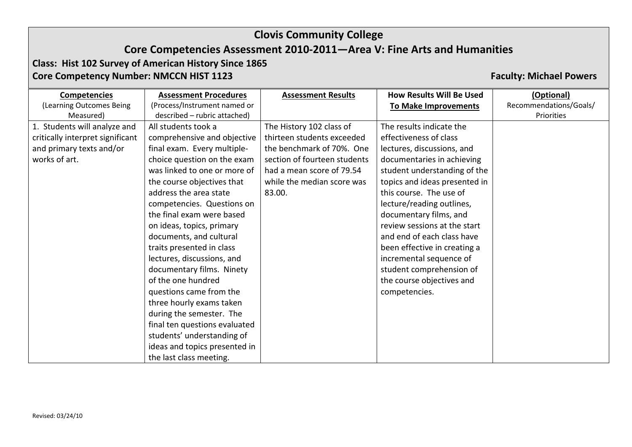# **Core Competencies Assessment 2010-2011—Area V: Fine Arts and Humanities**

**Class: Hist 102 Survey of American History Since 1865 Core Competency Number: NMCCN HIST 1123 Faculty: Michael Powers** 

| <b>Competencies</b>              | <b>Assessment Procedures</b>  | <b>Assessment Results</b>    | <b>How Results Will Be Used</b> | (Optional)             |
|----------------------------------|-------------------------------|------------------------------|---------------------------------|------------------------|
| (Learning Outcomes Being         | (Process/Instrument named or  |                              | <b>To Make Improvements</b>     | Recommendations/Goals/ |
| Measured)                        | described - rubric attached)  |                              |                                 | Priorities             |
| 1. Students will analyze and     | All students took a           | The History 102 class of     | The results indicate the        |                        |
| critically interpret significant | comprehensive and objective   | thirteen students exceeded   | effectiveness of class          |                        |
| and primary texts and/or         | final exam. Every multiple-   | the benchmark of 70%. One    | lectures, discussions, and      |                        |
| works of art.                    | choice question on the exam   | section of fourteen students | documentaries in achieving      |                        |
|                                  | was linked to one or more of  | had a mean score of 79.54    | student understanding of the    |                        |
|                                  | the course objectives that    | while the median score was   | topics and ideas presented in   |                        |
|                                  | address the area state        | 83.00.                       | this course. The use of         |                        |
|                                  | competencies. Questions on    |                              | lecture/reading outlines,       |                        |
|                                  | the final exam were based     |                              | documentary films, and          |                        |
|                                  | on ideas, topics, primary     |                              | review sessions at the start    |                        |
|                                  | documents, and cultural       |                              | and end of each class have      |                        |
|                                  | traits presented in class     |                              | been effective in creating a    |                        |
|                                  | lectures, discussions, and    |                              | incremental sequence of         |                        |
|                                  | documentary films. Ninety     |                              | student comprehension of        |                        |
|                                  | of the one hundred            |                              | the course objectives and       |                        |
|                                  | questions came from the       |                              | competencies.                   |                        |
|                                  | three hourly exams taken      |                              |                                 |                        |
|                                  | during the semester. The      |                              |                                 |                        |
|                                  | final ten questions evaluated |                              |                                 |                        |
|                                  | students' understanding of    |                              |                                 |                        |
|                                  | ideas and topics presented in |                              |                                 |                        |
|                                  | the last class meeting.       |                              |                                 |                        |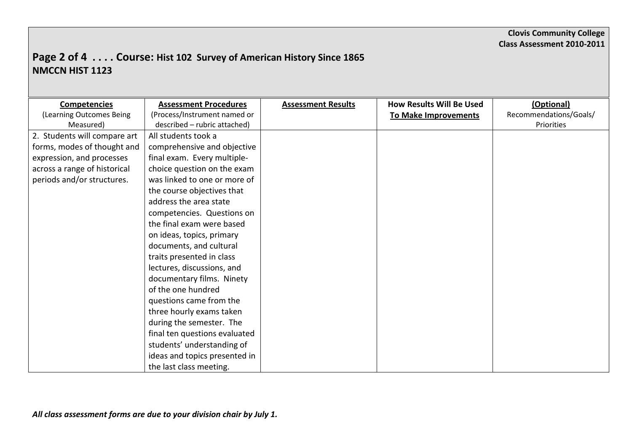# **Page 2 of 4 . . . . Course: Hist 102 Survey of American History Since 1865 NMCCN HIST 1123**

| <b>Competencies</b>          | <b>Assessment Procedures</b>  | <b>Assessment Results</b> | <b>How Results Will Be Used</b> | (Optional)             |
|------------------------------|-------------------------------|---------------------------|---------------------------------|------------------------|
| (Learning Outcomes Being     | (Process/Instrument named or  |                           | <b>To Make Improvements</b>     | Recommendations/Goals/ |
| Measured)                    | described - rubric attached)  |                           |                                 | Priorities             |
| 2. Students will compare art | All students took a           |                           |                                 |                        |
| forms, modes of thought and  | comprehensive and objective   |                           |                                 |                        |
| expression, and processes    | final exam. Every multiple-   |                           |                                 |                        |
| across a range of historical | choice question on the exam   |                           |                                 |                        |
| periods and/or structures.   | was linked to one or more of  |                           |                                 |                        |
|                              | the course objectives that    |                           |                                 |                        |
|                              | address the area state        |                           |                                 |                        |
|                              | competencies. Questions on    |                           |                                 |                        |
|                              | the final exam were based     |                           |                                 |                        |
|                              | on ideas, topics, primary     |                           |                                 |                        |
|                              | documents, and cultural       |                           |                                 |                        |
|                              | traits presented in class     |                           |                                 |                        |
|                              | lectures, discussions, and    |                           |                                 |                        |
|                              | documentary films. Ninety     |                           |                                 |                        |
|                              | of the one hundred            |                           |                                 |                        |
|                              | questions came from the       |                           |                                 |                        |
|                              | three hourly exams taken      |                           |                                 |                        |
|                              | during the semester. The      |                           |                                 |                        |
|                              | final ten questions evaluated |                           |                                 |                        |
|                              | students' understanding of    |                           |                                 |                        |
|                              | ideas and topics presented in |                           |                                 |                        |
|                              | the last class meeting.       |                           |                                 |                        |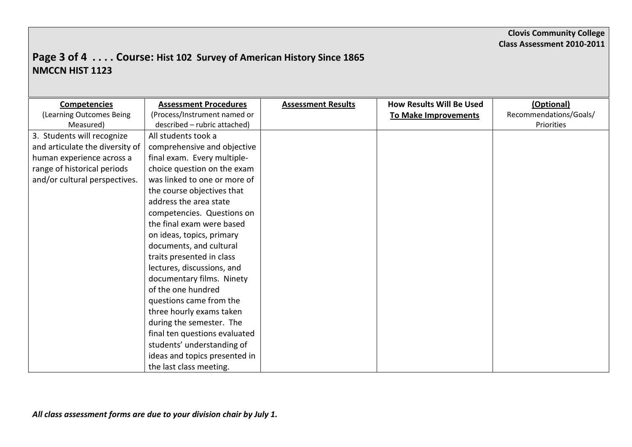# **Page 3 of 4 . . . . Course: Hist 102 Survey of American History Since 1865 NMCCN HIST 1123**

| <b>Competencies</b>             | <b>Assessment Procedures</b>  | <b>Assessment Results</b> | <b>How Results Will Be Used</b> | (Optional)             |
|---------------------------------|-------------------------------|---------------------------|---------------------------------|------------------------|
| (Learning Outcomes Being        | (Process/Instrument named or  |                           | <b>To Make Improvements</b>     | Recommendations/Goals/ |
| Measured)                       | described - rubric attached)  |                           |                                 | Priorities             |
| 3. Students will recognize      | All students took a           |                           |                                 |                        |
| and articulate the diversity of | comprehensive and objective   |                           |                                 |                        |
| human experience across a       | final exam. Every multiple-   |                           |                                 |                        |
| range of historical periods     | choice question on the exam   |                           |                                 |                        |
| and/or cultural perspectives.   | was linked to one or more of  |                           |                                 |                        |
|                                 | the course objectives that    |                           |                                 |                        |
|                                 | address the area state        |                           |                                 |                        |
|                                 | competencies. Questions on    |                           |                                 |                        |
|                                 | the final exam were based     |                           |                                 |                        |
|                                 | on ideas, topics, primary     |                           |                                 |                        |
|                                 | documents, and cultural       |                           |                                 |                        |
|                                 | traits presented in class     |                           |                                 |                        |
|                                 | lectures, discussions, and    |                           |                                 |                        |
|                                 | documentary films. Ninety     |                           |                                 |                        |
|                                 | of the one hundred            |                           |                                 |                        |
|                                 | questions came from the       |                           |                                 |                        |
|                                 | three hourly exams taken      |                           |                                 |                        |
|                                 | during the semester. The      |                           |                                 |                        |
|                                 | final ten questions evaluated |                           |                                 |                        |
|                                 | students' understanding of    |                           |                                 |                        |
|                                 | ideas and topics presented in |                           |                                 |                        |
|                                 | the last class meeting.       |                           |                                 |                        |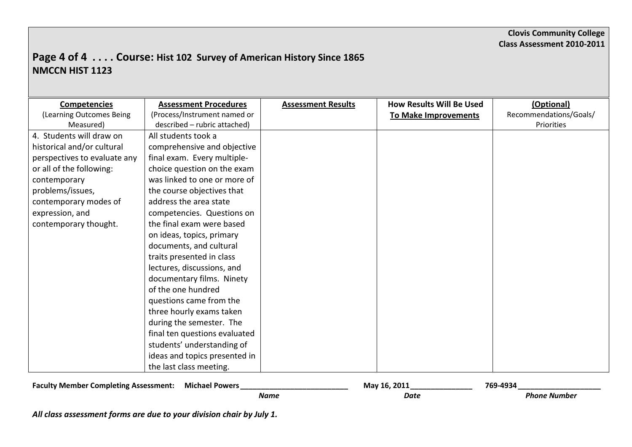# **Page 4 of 4 . . . . Course: Hist 102 Survey of American History Since 1865 NMCCN HIST 1123**

| <b>Competencies</b>          | <b>Assessment Procedures</b>  | <b>Assessment Results</b> | <b>How Results Will Be Used</b> | (Optional)             |
|------------------------------|-------------------------------|---------------------------|---------------------------------|------------------------|
| (Learning Outcomes Being     | (Process/Instrument named or  |                           | <b>To Make Improvements</b>     | Recommendations/Goals/ |
| Measured)                    | described - rubric attached)  |                           |                                 | Priorities             |
| 4. Students will draw on     | All students took a           |                           |                                 |                        |
| historical and/or cultural   | comprehensive and objective   |                           |                                 |                        |
| perspectives to evaluate any | final exam. Every multiple-   |                           |                                 |                        |
| or all of the following:     | choice question on the exam   |                           |                                 |                        |
| contemporary                 | was linked to one or more of  |                           |                                 |                        |
| problems/issues,             | the course objectives that    |                           |                                 |                        |
| contemporary modes of        | address the area state        |                           |                                 |                        |
| expression, and              | competencies. Questions on    |                           |                                 |                        |
| contemporary thought.        | the final exam were based     |                           |                                 |                        |
|                              | on ideas, topics, primary     |                           |                                 |                        |
|                              | documents, and cultural       |                           |                                 |                        |
|                              | traits presented in class     |                           |                                 |                        |
|                              | lectures, discussions, and    |                           |                                 |                        |
|                              | documentary films. Ninety     |                           |                                 |                        |
|                              | of the one hundred            |                           |                                 |                        |
|                              | questions came from the       |                           |                                 |                        |
|                              | three hourly exams taken      |                           |                                 |                        |
|                              | during the semester. The      |                           |                                 |                        |
|                              | final ten questions evaluated |                           |                                 |                        |
|                              | students' understanding of    |                           |                                 |                        |
|                              | ideas and topics presented in |                           |                                 |                        |
|                              | the last class meeting.       |                           |                                 |                        |

| <b>Faculty</b><br>, Member Completing ,<br>Assessment: | <b>Michael Powers</b> | 201<br>Mav | 769.<br><u>ר במוע</u><br>---- |
|--------------------------------------------------------|-----------------------|------------|-------------------------------|
|                                                        | Name                  | Date       | Phone<br>. Number             |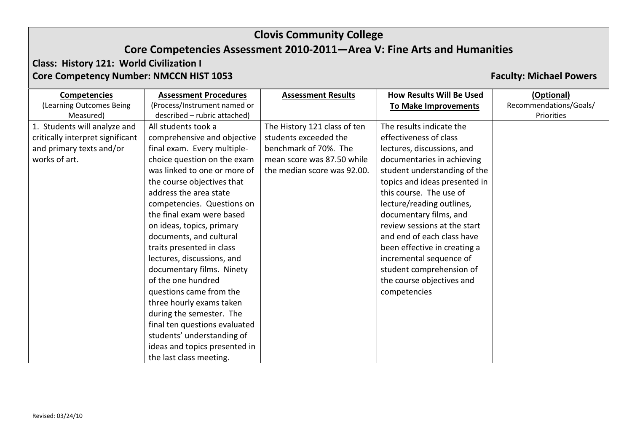# **Core Competencies Assessment 2010-2011—Area V: Fine Arts and Humanities**

## **Class: History 121: World Civilization I Core Competency Number: NMCCN HIST 1053** *Core Competency Number: NMCCN HIST 1053*

| <b>Competencies</b>              | <b>Assessment Procedures</b>  | <b>Assessment Results</b>    | <b>How Results Will Be Used</b> | (Optional)             |
|----------------------------------|-------------------------------|------------------------------|---------------------------------|------------------------|
| (Learning Outcomes Being         | (Process/Instrument named or  |                              | <b>To Make Improvements</b>     | Recommendations/Goals/ |
| Measured)                        | described - rubric attached)  |                              |                                 | Priorities             |
| 1. Students will analyze and     | All students took a           | The History 121 class of ten | The results indicate the        |                        |
| critically interpret significant | comprehensive and objective   | students exceeded the        | effectiveness of class          |                        |
| and primary texts and/or         | final exam. Every multiple-   | benchmark of 70%. The        | lectures, discussions, and      |                        |
| works of art.                    | choice question on the exam   | mean score was 87.50 while   | documentaries in achieving      |                        |
|                                  | was linked to one or more of  | the median score was 92.00.  | student understanding of the    |                        |
|                                  | the course objectives that    |                              | topics and ideas presented in   |                        |
|                                  | address the area state        |                              | this course. The use of         |                        |
|                                  | competencies. Questions on    |                              | lecture/reading outlines,       |                        |
|                                  | the final exam were based     |                              | documentary films, and          |                        |
|                                  | on ideas, topics, primary     |                              | review sessions at the start    |                        |
|                                  | documents, and cultural       |                              | and end of each class have      |                        |
|                                  | traits presented in class     |                              | been effective in creating a    |                        |
|                                  | lectures, discussions, and    |                              | incremental sequence of         |                        |
|                                  | documentary films. Ninety     |                              | student comprehension of        |                        |
|                                  | of the one hundred            |                              | the course objectives and       |                        |
|                                  | questions came from the       |                              | competencies                    |                        |
|                                  | three hourly exams taken      |                              |                                 |                        |
|                                  | during the semester. The      |                              |                                 |                        |
|                                  | final ten questions evaluated |                              |                                 |                        |
|                                  | students' understanding of    |                              |                                 |                        |
|                                  | ideas and topics presented in |                              |                                 |                        |
|                                  | the last class meeting.       |                              |                                 |                        |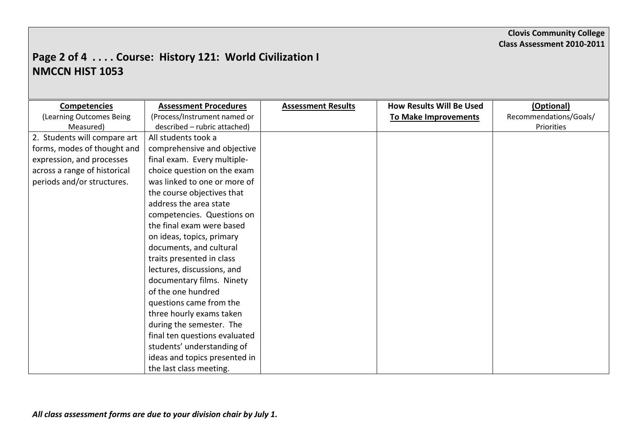# **Page 2 of 4 . . . . Course: History 121: World Civilization I NMCCN HIST 1053**

| <b>Competencies</b>          | <b>Assessment Procedures</b>  | <b>Assessment Results</b> | <b>How Results Will Be Used</b> | (Optional)             |
|------------------------------|-------------------------------|---------------------------|---------------------------------|------------------------|
| (Learning Outcomes Being     | (Process/Instrument named or  |                           | <b>To Make Improvements</b>     | Recommendations/Goals/ |
| Measured)                    | described - rubric attached)  |                           |                                 | Priorities             |
| 2. Students will compare art | All students took a           |                           |                                 |                        |
| forms, modes of thought and  | comprehensive and objective   |                           |                                 |                        |
| expression, and processes    | final exam. Every multiple-   |                           |                                 |                        |
| across a range of historical | choice question on the exam   |                           |                                 |                        |
| periods and/or structures.   | was linked to one or more of  |                           |                                 |                        |
|                              | the course objectives that    |                           |                                 |                        |
|                              | address the area state        |                           |                                 |                        |
|                              | competencies. Questions on    |                           |                                 |                        |
|                              | the final exam were based     |                           |                                 |                        |
|                              | on ideas, topics, primary     |                           |                                 |                        |
|                              | documents, and cultural       |                           |                                 |                        |
|                              | traits presented in class     |                           |                                 |                        |
|                              | lectures, discussions, and    |                           |                                 |                        |
|                              | documentary films. Ninety     |                           |                                 |                        |
|                              | of the one hundred            |                           |                                 |                        |
|                              | questions came from the       |                           |                                 |                        |
|                              | three hourly exams taken      |                           |                                 |                        |
|                              | during the semester. The      |                           |                                 |                        |
|                              | final ten questions evaluated |                           |                                 |                        |
|                              | students' understanding of    |                           |                                 |                        |
|                              | ideas and topics presented in |                           |                                 |                        |
|                              | the last class meeting.       |                           |                                 |                        |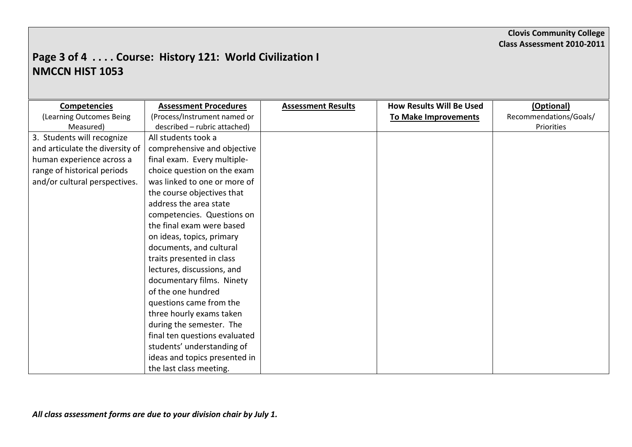# **Page 3 of 4 . . . . Course: History 121: World Civilization I NMCCN HIST 1053**

| <b>Competencies</b>             | <b>Assessment Procedures</b>  | <b>Assessment Results</b> | <b>How Results Will Be Used</b> | (Optional)             |
|---------------------------------|-------------------------------|---------------------------|---------------------------------|------------------------|
| (Learning Outcomes Being        | (Process/Instrument named or  |                           | <b>To Make Improvements</b>     | Recommendations/Goals/ |
| Measured)                       | described - rubric attached)  |                           |                                 | Priorities             |
| 3. Students will recognize      | All students took a           |                           |                                 |                        |
| and articulate the diversity of | comprehensive and objective   |                           |                                 |                        |
| human experience across a       | final exam. Every multiple-   |                           |                                 |                        |
| range of historical periods     | choice question on the exam   |                           |                                 |                        |
| and/or cultural perspectives.   | was linked to one or more of  |                           |                                 |                        |
|                                 | the course objectives that    |                           |                                 |                        |
|                                 | address the area state        |                           |                                 |                        |
|                                 | competencies. Questions on    |                           |                                 |                        |
|                                 | the final exam were based     |                           |                                 |                        |
|                                 | on ideas, topics, primary     |                           |                                 |                        |
|                                 | documents, and cultural       |                           |                                 |                        |
|                                 | traits presented in class     |                           |                                 |                        |
|                                 | lectures, discussions, and    |                           |                                 |                        |
|                                 | documentary films. Ninety     |                           |                                 |                        |
|                                 | of the one hundred            |                           |                                 |                        |
|                                 | questions came from the       |                           |                                 |                        |
|                                 | three hourly exams taken      |                           |                                 |                        |
|                                 | during the semester. The      |                           |                                 |                        |
|                                 | final ten questions evaluated |                           |                                 |                        |
|                                 | students' understanding of    |                           |                                 |                        |
|                                 | ideas and topics presented in |                           |                                 |                        |
|                                 | the last class meeting.       |                           |                                 |                        |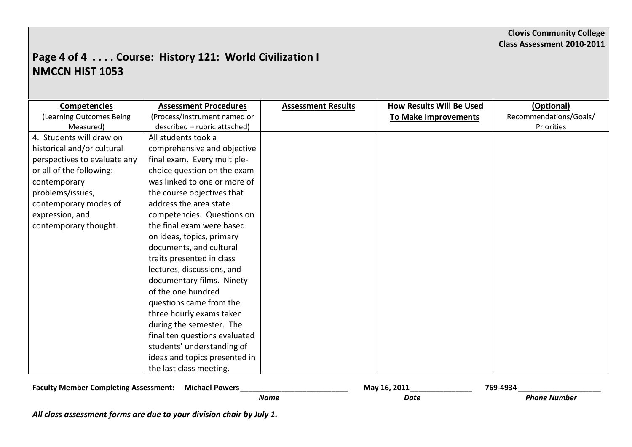# **Page 4 of 4 . . . . Course: History 121: World Civilization I NMCCN HIST 1053**

| <b>Competencies</b>          | <b>Assessment Procedures</b>  | <b>Assessment Results</b> | <b>How Results Will Be Used</b> | (Optional)             |
|------------------------------|-------------------------------|---------------------------|---------------------------------|------------------------|
| (Learning Outcomes Being     | (Process/Instrument named or  |                           | <b>To Make Improvements</b>     | Recommendations/Goals/ |
| Measured)                    | described - rubric attached)  |                           |                                 | <b>Priorities</b>      |
| 4. Students will draw on     | All students took a           |                           |                                 |                        |
| historical and/or cultural   | comprehensive and objective   |                           |                                 |                        |
| perspectives to evaluate any | final exam. Every multiple-   |                           |                                 |                        |
| or all of the following:     | choice question on the exam   |                           |                                 |                        |
| contemporary                 | was linked to one or more of  |                           |                                 |                        |
| problems/issues,             | the course objectives that    |                           |                                 |                        |
| contemporary modes of        | address the area state        |                           |                                 |                        |
| expression, and              | competencies. Questions on    |                           |                                 |                        |
| contemporary thought.        | the final exam were based     |                           |                                 |                        |
|                              | on ideas, topics, primary     |                           |                                 |                        |
|                              | documents, and cultural       |                           |                                 |                        |
|                              | traits presented in class     |                           |                                 |                        |
|                              | lectures, discussions, and    |                           |                                 |                        |
|                              | documentary films. Ninety     |                           |                                 |                        |
|                              | of the one hundred            |                           |                                 |                        |
|                              | questions came from the       |                           |                                 |                        |
|                              | three hourly exams taken      |                           |                                 |                        |
|                              | during the semester. The      |                           |                                 |                        |
|                              | final ten questions evaluated |                           |                                 |                        |
|                              | students' understanding of    |                           |                                 |                        |
|                              | ideas and topics presented in |                           |                                 |                        |
|                              | the last class meeting.       |                           |                                 |                        |

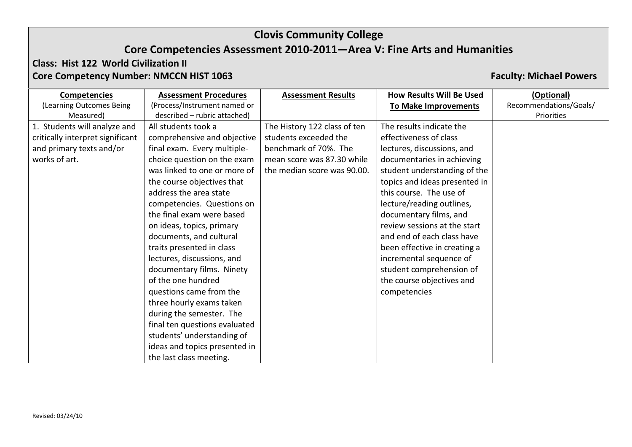# **Core Competencies Assessment 2010-2011—Area V: Fine Arts and Humanities**

## **Class: Hist 122 World Civilization II Core Competency Number: NMCCN HIST 1063** *Core Competency Number: NMCCN HIST 1063*

| <b>Competencies</b>              | <b>Assessment Procedures</b>  | <b>Assessment Results</b>    | <b>How Results Will Be Used</b> | (Optional)             |
|----------------------------------|-------------------------------|------------------------------|---------------------------------|------------------------|
| (Learning Outcomes Being         | (Process/Instrument named or  |                              | <b>To Make Improvements</b>     | Recommendations/Goals/ |
| Measured)                        | described - rubric attached)  |                              |                                 | Priorities             |
| 1. Students will analyze and     | All students took a           | The History 122 class of ten | The results indicate the        |                        |
| critically interpret significant | comprehensive and objective   | students exceeded the        | effectiveness of class          |                        |
| and primary texts and/or         | final exam. Every multiple-   | benchmark of 70%. The        | lectures, discussions, and      |                        |
| works of art.                    | choice question on the exam   | mean score was 87.30 while   | documentaries in achieving      |                        |
|                                  | was linked to one or more of  | the median score was 90.00.  | student understanding of the    |                        |
|                                  | the course objectives that    |                              | topics and ideas presented in   |                        |
|                                  | address the area state        |                              | this course. The use of         |                        |
|                                  | competencies. Questions on    |                              | lecture/reading outlines,       |                        |
|                                  | the final exam were based     |                              | documentary films, and          |                        |
|                                  | on ideas, topics, primary     |                              | review sessions at the start    |                        |
|                                  | documents, and cultural       |                              | and end of each class have      |                        |
|                                  | traits presented in class     |                              | been effective in creating a    |                        |
|                                  | lectures, discussions, and    |                              | incremental sequence of         |                        |
|                                  | documentary films. Ninety     |                              | student comprehension of        |                        |
|                                  | of the one hundred            |                              | the course objectives and       |                        |
|                                  | questions came from the       |                              | competencies                    |                        |
|                                  | three hourly exams taken      |                              |                                 |                        |
|                                  | during the semester. The      |                              |                                 |                        |
|                                  | final ten questions evaluated |                              |                                 |                        |
|                                  | students' understanding of    |                              |                                 |                        |
|                                  | ideas and topics presented in |                              |                                 |                        |
|                                  | the last class meeting.       |                              |                                 |                        |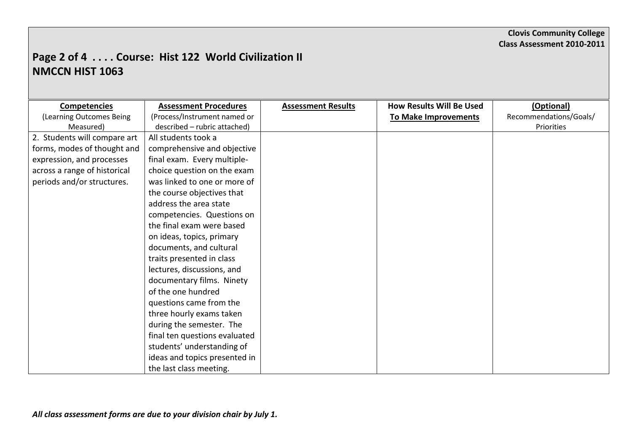# **Page 2 of 4 . . . . Course: Hist 122 World Civilization II NMCCN HIST 1063**

| <b>Competencies</b>          | <b>Assessment Procedures</b>  | <b>Assessment Results</b> | <b>How Results Will Be Used</b> | (Optional)             |
|------------------------------|-------------------------------|---------------------------|---------------------------------|------------------------|
| (Learning Outcomes Being     | (Process/Instrument named or  |                           | <b>To Make Improvements</b>     | Recommendations/Goals/ |
| Measured)                    | described - rubric attached)  |                           |                                 | Priorities             |
| 2. Students will compare art | All students took a           |                           |                                 |                        |
| forms, modes of thought and  | comprehensive and objective   |                           |                                 |                        |
| expression, and processes    | final exam. Every multiple-   |                           |                                 |                        |
| across a range of historical | choice question on the exam   |                           |                                 |                        |
| periods and/or structures.   | was linked to one or more of  |                           |                                 |                        |
|                              | the course objectives that    |                           |                                 |                        |
|                              | address the area state        |                           |                                 |                        |
|                              | competencies. Questions on    |                           |                                 |                        |
|                              | the final exam were based     |                           |                                 |                        |
|                              | on ideas, topics, primary     |                           |                                 |                        |
|                              | documents, and cultural       |                           |                                 |                        |
|                              | traits presented in class     |                           |                                 |                        |
|                              | lectures, discussions, and    |                           |                                 |                        |
|                              | documentary films. Ninety     |                           |                                 |                        |
|                              | of the one hundred            |                           |                                 |                        |
|                              | questions came from the       |                           |                                 |                        |
|                              | three hourly exams taken      |                           |                                 |                        |
|                              | during the semester. The      |                           |                                 |                        |
|                              | final ten questions evaluated |                           |                                 |                        |
|                              | students' understanding of    |                           |                                 |                        |
|                              | ideas and topics presented in |                           |                                 |                        |
|                              | the last class meeting.       |                           |                                 |                        |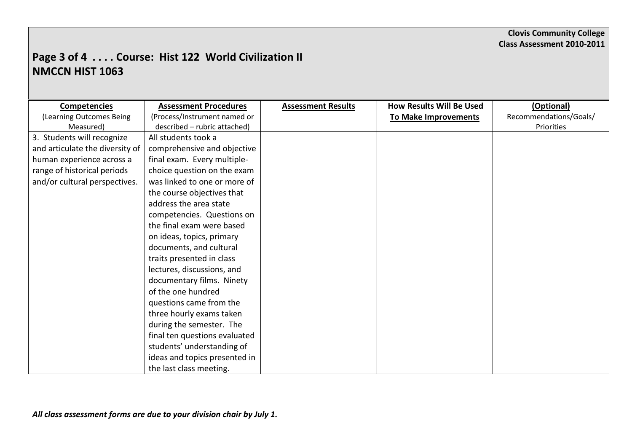# **Page 3 of 4 . . . . Course: Hist 122 World Civilization II NMCCN HIST 1063**

| <b>Competencies</b>             | <b>Assessment Procedures</b>  | <b>Assessment Results</b> | <b>How Results Will Be Used</b> | (Optional)             |
|---------------------------------|-------------------------------|---------------------------|---------------------------------|------------------------|
| (Learning Outcomes Being        | (Process/Instrument named or  |                           | <b>To Make Improvements</b>     | Recommendations/Goals/ |
| Measured)                       | described - rubric attached)  |                           |                                 | Priorities             |
| 3. Students will recognize      | All students took a           |                           |                                 |                        |
| and articulate the diversity of | comprehensive and objective   |                           |                                 |                        |
| human experience across a       | final exam. Every multiple-   |                           |                                 |                        |
| range of historical periods     | choice question on the exam   |                           |                                 |                        |
| and/or cultural perspectives.   | was linked to one or more of  |                           |                                 |                        |
|                                 | the course objectives that    |                           |                                 |                        |
|                                 | address the area state        |                           |                                 |                        |
|                                 | competencies. Questions on    |                           |                                 |                        |
|                                 | the final exam were based     |                           |                                 |                        |
|                                 | on ideas, topics, primary     |                           |                                 |                        |
|                                 | documents, and cultural       |                           |                                 |                        |
|                                 | traits presented in class     |                           |                                 |                        |
|                                 | lectures, discussions, and    |                           |                                 |                        |
|                                 | documentary films. Ninety     |                           |                                 |                        |
|                                 | of the one hundred            |                           |                                 |                        |
|                                 | questions came from the       |                           |                                 |                        |
|                                 | three hourly exams taken      |                           |                                 |                        |
|                                 | during the semester. The      |                           |                                 |                        |
|                                 | final ten questions evaluated |                           |                                 |                        |
|                                 | students' understanding of    |                           |                                 |                        |
|                                 | ideas and topics presented in |                           |                                 |                        |
|                                 | the last class meeting.       |                           |                                 |                        |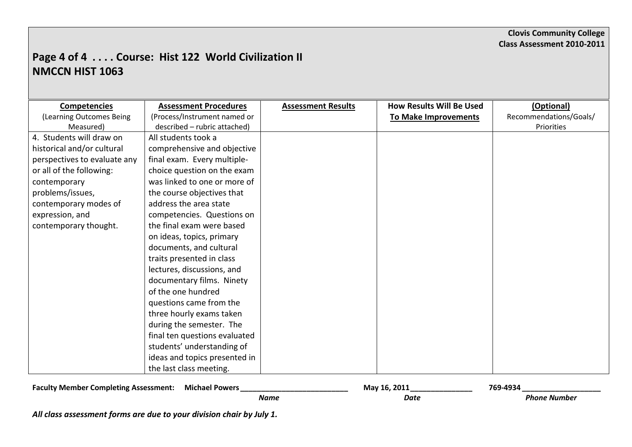# **Page 4 of 4 . . . . Course: Hist 122 World Civilization II NMCCN HIST 1063**

| <b>Competencies</b>          | <b>Assessment Procedures</b>  | <b>Assessment Results</b> | <b>How Results Will Be Used</b> | (Optional)             |
|------------------------------|-------------------------------|---------------------------|---------------------------------|------------------------|
| (Learning Outcomes Being     | (Process/Instrument named or  |                           | <b>To Make Improvements</b>     | Recommendations/Goals/ |
| Measured)                    | described - rubric attached)  |                           |                                 | Priorities             |
| 4. Students will draw on     | All students took a           |                           |                                 |                        |
| historical and/or cultural   | comprehensive and objective   |                           |                                 |                        |
| perspectives to evaluate any | final exam. Every multiple-   |                           |                                 |                        |
| or all of the following:     | choice question on the exam   |                           |                                 |                        |
| contemporary                 | was linked to one or more of  |                           |                                 |                        |
| problems/issues,             | the course objectives that    |                           |                                 |                        |
| contemporary modes of        | address the area state        |                           |                                 |                        |
| expression, and              | competencies. Questions on    |                           |                                 |                        |
| contemporary thought.        | the final exam were based     |                           |                                 |                        |
|                              | on ideas, topics, primary     |                           |                                 |                        |
|                              | documents, and cultural       |                           |                                 |                        |
|                              | traits presented in class     |                           |                                 |                        |
|                              | lectures, discussions, and    |                           |                                 |                        |
|                              | documentary films. Ninety     |                           |                                 |                        |
|                              | of the one hundred            |                           |                                 |                        |
|                              | questions came from the       |                           |                                 |                        |
|                              | three hourly exams taken      |                           |                                 |                        |
|                              | during the semester. The      |                           |                                 |                        |
|                              | final ten questions evaluated |                           |                                 |                        |
|                              | students' understanding of    |                           |                                 |                        |
|                              | ideas and topics presented in |                           |                                 |                        |
|                              | the last class meeting.       |                           |                                 |                        |

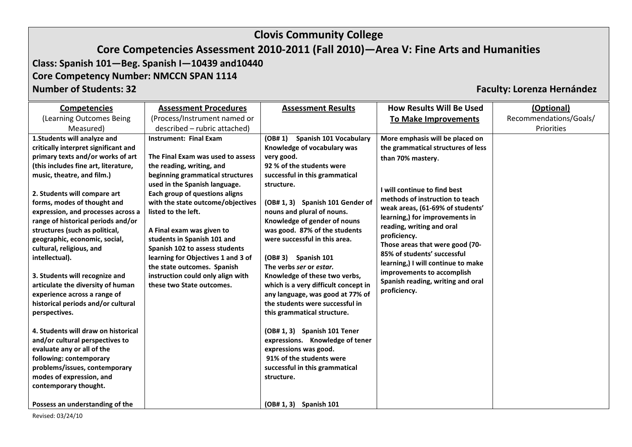**Core Competencies Assessment 2010-2011 (Fall 2010)—Area V: Fine Arts and Humanities**

**Class: Spanish 101—Beg. Spanish I—10439 and10440**

**Core Competency Number: NMCCN SPAN 1114**

**Number of Students: 32 Faculty: Lorenza Hernández** 

| <b>Competencies</b>                  | <b>Assessment Procedures</b>                                      | <b>Assessment Results</b>                     | <b>How Results Will Be Used</b>    | (Optional)             |
|--------------------------------------|-------------------------------------------------------------------|-----------------------------------------------|------------------------------------|------------------------|
| (Learning Outcomes Being             | (Process/Instrument named or                                      |                                               | To Make Improvements               | Recommendations/Goals/ |
| Measured)                            | described - rubric attached)                                      |                                               |                                    | <b>Priorities</b>      |
| 1. Students will analyze and         | <b>Instrument: Final Exam</b>                                     | Spanish 101 Vocabulary<br>(OB#1)              | More emphasis will be placed on    |                        |
| critically interpret significant and |                                                                   | Knowledge of vocabulary was                   | the grammatical structures of less |                        |
| primary texts and/or works of art    | The Final Exam was used to assess                                 | very good.                                    | than 70% mastery.                  |                        |
| (this includes fine art, literature, | the reading, writing, and                                         | 92 % of the students were                     |                                    |                        |
| music, theatre, and film.)           | beginning grammatical structures                                  | successful in this grammatical                |                                    |                        |
|                                      | used in the Spanish language.                                     | structure.                                    | I will continue to find best       |                        |
| 2. Students will compare art         | Each group of questions aligns                                    |                                               | methods of instruction to teach    |                        |
| forms, modes of thought and          | with the state outcome/objectives                                 | (OB# 1, 3) Spanish 101 Gender of              | weak areas, (61-69% of students'   |                        |
| expression, and processes across a   | listed to the left.                                               | nouns and plural of nouns.                    | learning,) for improvements in     |                        |
| range of historical periods and/or   |                                                                   | Knowledge of gender of nouns                  | reading, writing and oral          |                        |
| structures (such as political,       | A Final exam was given to                                         | was good. 87% of the students                 | proficiency.                       |                        |
| geographic, economic, social,        | students in Spanish 101 and                                       | were successful in this area.                 | Those areas that were good (70-    |                        |
| cultural, religious, and             | Spanish 102 to assess students                                    |                                               | 85% of students' successful        |                        |
| intellectual).                       | learning for Objectives 1 and 3 of<br>the state outcomes. Spanish | (OB#3) Spanish 101<br>The verbs ser or estar. | learning,) I will continue to make |                        |
| 3. Students will recognize and       | instruction could only align with                                 | Knowledge of these two verbs,                 | improvements to accomplish         |                        |
| articulate the diversity of human    | these two State outcomes.                                         | which is a very difficult concept in          | Spanish reading, writing and oral  |                        |
| experience across a range of         |                                                                   | any language, was good at 77% of              | proficiency.                       |                        |
| historical periods and/or cultural   |                                                                   | the students were successful in               |                                    |                        |
| perspectives.                        |                                                                   | this grammatical structure.                   |                                    |                        |
|                                      |                                                                   |                                               |                                    |                        |
| 4. Students will draw on historical  |                                                                   | (OB# 1, 3) Spanish 101 Tener                  |                                    |                        |
| and/or cultural perspectives to      |                                                                   | expressions. Knowledge of tener               |                                    |                        |
| evaluate any or all of the           |                                                                   | expressions was good.                         |                                    |                        |
| following: contemporary              |                                                                   | 91% of the students were                      |                                    |                        |
| problems/issues, contemporary        |                                                                   | successful in this grammatical                |                                    |                        |
| modes of expression, and             |                                                                   | structure.                                    |                                    |                        |
| contemporary thought.                |                                                                   |                                               |                                    |                        |
|                                      |                                                                   |                                               |                                    |                        |
| Possess an understanding of the      |                                                                   | (OB# 1, 3) Spanish 101                        |                                    |                        |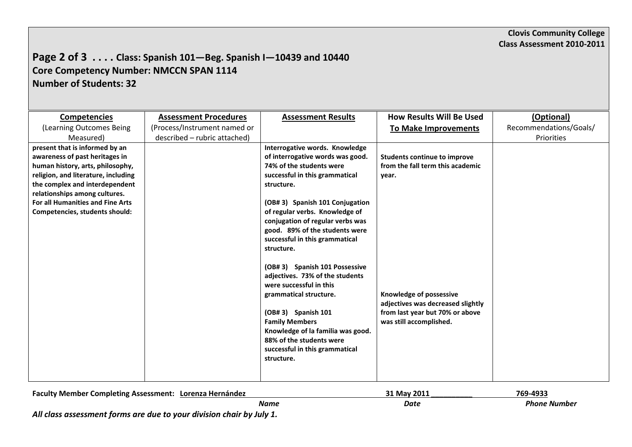## **Page 2 of 3 . . . . Class: Spanish 101—Beg. Spanish I—10439 and 10440 Core Competency Number: NMCCN SPAN 1114 Number of Students: 32**

| (Process/Instrument named or     |                                                                                                                                                                                                                                                                                                                                                                                                                          |                                                                                                                            |
|----------------------------------|--------------------------------------------------------------------------------------------------------------------------------------------------------------------------------------------------------------------------------------------------------------------------------------------------------------------------------------------------------------------------------------------------------------------------|----------------------------------------------------------------------------------------------------------------------------|
|                                  | <b>To Make Improvements</b>                                                                                                                                                                                                                                                                                                                                                                                              | Recommendations/Goals/                                                                                                     |
|                                  |                                                                                                                                                                                                                                                                                                                                                                                                                          | Priorities                                                                                                                 |
| Interrogative words. Knowledge   |                                                                                                                                                                                                                                                                                                                                                                                                                          |                                                                                                                            |
| of interrogative words was good. | <b>Students continue to improve</b>                                                                                                                                                                                                                                                                                                                                                                                      |                                                                                                                            |
| 74% of the students were         | from the fall term this academic                                                                                                                                                                                                                                                                                                                                                                                         |                                                                                                                            |
|                                  | year.                                                                                                                                                                                                                                                                                                                                                                                                                    |                                                                                                                            |
|                                  |                                                                                                                                                                                                                                                                                                                                                                                                                          |                                                                                                                            |
|                                  |                                                                                                                                                                                                                                                                                                                                                                                                                          |                                                                                                                            |
|                                  |                                                                                                                                                                                                                                                                                                                                                                                                                          |                                                                                                                            |
|                                  |                                                                                                                                                                                                                                                                                                                                                                                                                          |                                                                                                                            |
|                                  |                                                                                                                                                                                                                                                                                                                                                                                                                          |                                                                                                                            |
|                                  |                                                                                                                                                                                                                                                                                                                                                                                                                          |                                                                                                                            |
| structure.                       |                                                                                                                                                                                                                                                                                                                                                                                                                          |                                                                                                                            |
|                                  |                                                                                                                                                                                                                                                                                                                                                                                                                          |                                                                                                                            |
| (OB#3) Spanish 101 Possessive    |                                                                                                                                                                                                                                                                                                                                                                                                                          |                                                                                                                            |
| adjectives. 73% of the students  |                                                                                                                                                                                                                                                                                                                                                                                                                          |                                                                                                                            |
| were successful in this          |                                                                                                                                                                                                                                                                                                                                                                                                                          |                                                                                                                            |
| grammatical structure.           |                                                                                                                                                                                                                                                                                                                                                                                                                          |                                                                                                                            |
|                                  |                                                                                                                                                                                                                                                                                                                                                                                                                          |                                                                                                                            |
|                                  |                                                                                                                                                                                                                                                                                                                                                                                                                          |                                                                                                                            |
|                                  |                                                                                                                                                                                                                                                                                                                                                                                                                          |                                                                                                                            |
|                                  |                                                                                                                                                                                                                                                                                                                                                                                                                          |                                                                                                                            |
|                                  |                                                                                                                                                                                                                                                                                                                                                                                                                          |                                                                                                                            |
|                                  |                                                                                                                                                                                                                                                                                                                                                                                                                          |                                                                                                                            |
|                                  |                                                                                                                                                                                                                                                                                                                                                                                                                          |                                                                                                                            |
|                                  |                                                                                                                                                                                                                                                                                                                                                                                                                          |                                                                                                                            |
|                                  | described - rubric attached)<br>successful in this grammatical<br>structure.<br>(OB#3) Spanish 101 Conjugation<br>of regular verbs. Knowledge of<br>conjugation of regular verbs was<br>good. 89% of the students were<br>successful in this grammatical<br>(OB#3) Spanish 101<br><b>Family Members</b><br>Knowledge of la familia was good.<br>88% of the students were<br>successful in this grammatical<br>structure. | Knowledge of possessive<br>adjectives was decreased slightly<br>from last year but 70% or above<br>was still accomplished. |

| Faculty Member Completing Assessment: Lorenza Hernández              | 31 May 2011 | 769-4933            |
|----------------------------------------------------------------------|-------------|---------------------|
| Name                                                                 | Date        | <b>Phone Number</b> |
| All class assessment forms are due to your division chair by July 1. |             |                     |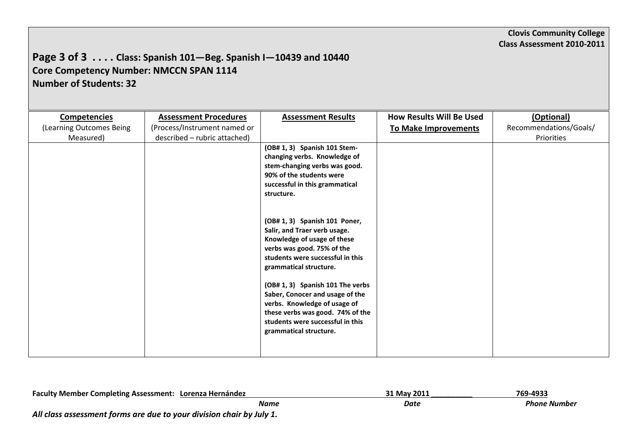## **Page 3 of 3 . . . . Class: Spanish 101—Beg. Spanish I—10439 and 10440 Core Competency Number: NMCCN SPAN 1114 Number of Students: 32**

| <b>Assessment Procedures</b> | <b>Assessment Results</b>        | <b>How Results Will Be Used</b>                                                                                                                                                                                                                                                                                                                                                     | (Optional)             |
|------------------------------|----------------------------------|-------------------------------------------------------------------------------------------------------------------------------------------------------------------------------------------------------------------------------------------------------------------------------------------------------------------------------------------------------------------------------------|------------------------|
| (Process/Instrument named or |                                  | <b>To Make Improvements</b>                                                                                                                                                                                                                                                                                                                                                         | Recommendations/Goals/ |
| described - rubric attached) |                                  |                                                                                                                                                                                                                                                                                                                                                                                     | Priorities             |
|                              | (OB# 1, 3) Spanish 101 Stem-     |                                                                                                                                                                                                                                                                                                                                                                                     |                        |
|                              | changing verbs. Knowledge of     |                                                                                                                                                                                                                                                                                                                                                                                     |                        |
|                              |                                  |                                                                                                                                                                                                                                                                                                                                                                                     |                        |
|                              |                                  |                                                                                                                                                                                                                                                                                                                                                                                     |                        |
|                              |                                  |                                                                                                                                                                                                                                                                                                                                                                                     |                        |
|                              |                                  |                                                                                                                                                                                                                                                                                                                                                                                     |                        |
|                              |                                  |                                                                                                                                                                                                                                                                                                                                                                                     |                        |
|                              |                                  |                                                                                                                                                                                                                                                                                                                                                                                     |                        |
|                              |                                  |                                                                                                                                                                                                                                                                                                                                                                                     |                        |
|                              | Knowledge of usage of these      |                                                                                                                                                                                                                                                                                                                                                                                     |                        |
|                              | verbs was good. 75% of the       |                                                                                                                                                                                                                                                                                                                                                                                     |                        |
|                              | students were successful in this |                                                                                                                                                                                                                                                                                                                                                                                     |                        |
|                              | grammatical structure.           |                                                                                                                                                                                                                                                                                                                                                                                     |                        |
|                              |                                  |                                                                                                                                                                                                                                                                                                                                                                                     |                        |
|                              |                                  |                                                                                                                                                                                                                                                                                                                                                                                     |                        |
|                              |                                  |                                                                                                                                                                                                                                                                                                                                                                                     |                        |
|                              |                                  |                                                                                                                                                                                                                                                                                                                                                                                     |                        |
|                              |                                  |                                                                                                                                                                                                                                                                                                                                                                                     |                        |
|                              |                                  |                                                                                                                                                                                                                                                                                                                                                                                     |                        |
|                              |                                  |                                                                                                                                                                                                                                                                                                                                                                                     |                        |
|                              |                                  |                                                                                                                                                                                                                                                                                                                                                                                     |                        |
|                              |                                  | stem-changing verbs was good.<br>90% of the students were<br>successful in this grammatical<br>structure.<br>(OB# 1, 3) Spanish 101 Poner,<br>Salir, and Traer verb usage.<br>(OB# 1, 3) Spanish 101 The verbs<br>Saber, Conocer and usage of the<br>verbs. Knowledge of usage of<br>these verbs was good. 74% of the<br>students were successful in this<br>grammatical structure. |                        |

| Faculty Member Completing Assessment: Lorenza Hernández              | 31 May 2011 | 769-4933            |
|----------------------------------------------------------------------|-------------|---------------------|
| <b>Name</b>                                                          | Date        | <b>Phone Number</b> |
| All class assessment forms are due to your division chair by July 1. |             |                     |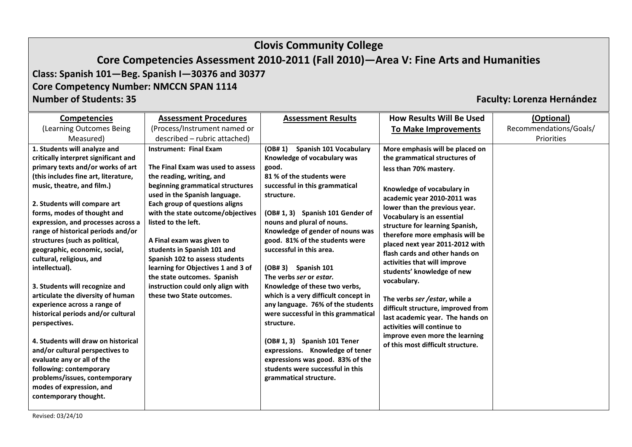**Core Competencies Assessment 2010-2011 (Fall 2010)—Area V: Fine Arts and Humanities**

**Class: Spanish 101—Beg. Spanish I—30376 and 30377**

**Core Competency Number: NMCCN SPAN 1114**

**Number of Students: 35 Faculty: Lorenza Hernández** 

| <b>Competencies</b>                                                                                                                                                                                                                                                                                                                                                                                                                                                                                                            | <b>Assessment Procedures</b>                                                                                                                                                                                                                                                                                                                                                                         | <b>Assessment Results</b>                                                                                                                                                                                                                                                                                                                                                                                                                                                                               | <b>How Results Will Be Used</b>                                                                                                                                                                                                                                                                                                                                                                                                                                                                                                                                    | (Optional)             |
|--------------------------------------------------------------------------------------------------------------------------------------------------------------------------------------------------------------------------------------------------------------------------------------------------------------------------------------------------------------------------------------------------------------------------------------------------------------------------------------------------------------------------------|------------------------------------------------------------------------------------------------------------------------------------------------------------------------------------------------------------------------------------------------------------------------------------------------------------------------------------------------------------------------------------------------------|---------------------------------------------------------------------------------------------------------------------------------------------------------------------------------------------------------------------------------------------------------------------------------------------------------------------------------------------------------------------------------------------------------------------------------------------------------------------------------------------------------|--------------------------------------------------------------------------------------------------------------------------------------------------------------------------------------------------------------------------------------------------------------------------------------------------------------------------------------------------------------------------------------------------------------------------------------------------------------------------------------------------------------------------------------------------------------------|------------------------|
| (Learning Outcomes Being                                                                                                                                                                                                                                                                                                                                                                                                                                                                                                       | (Process/Instrument named or                                                                                                                                                                                                                                                                                                                                                                         |                                                                                                                                                                                                                                                                                                                                                                                                                                                                                                         | To Make Improvements                                                                                                                                                                                                                                                                                                                                                                                                                                                                                                                                               | Recommendations/Goals/ |
| Measured)                                                                                                                                                                                                                                                                                                                                                                                                                                                                                                                      | described - rubric attached)                                                                                                                                                                                                                                                                                                                                                                         |                                                                                                                                                                                                                                                                                                                                                                                                                                                                                                         |                                                                                                                                                                                                                                                                                                                                                                                                                                                                                                                                                                    | <b>Priorities</b>      |
| 1. Students will analyze and                                                                                                                                                                                                                                                                                                                                                                                                                                                                                                   | <b>Instrument: Final Exam</b>                                                                                                                                                                                                                                                                                                                                                                        | Spanish 101 Vocabulary<br>(OB#1)                                                                                                                                                                                                                                                                                                                                                                                                                                                                        | More emphasis will be placed on                                                                                                                                                                                                                                                                                                                                                                                                                                                                                                                                    |                        |
| critically interpret significant and                                                                                                                                                                                                                                                                                                                                                                                                                                                                                           |                                                                                                                                                                                                                                                                                                                                                                                                      | Knowledge of vocabulary was                                                                                                                                                                                                                                                                                                                                                                                                                                                                             | the grammatical structures of                                                                                                                                                                                                                                                                                                                                                                                                                                                                                                                                      |                        |
| primary texts and/or works of art                                                                                                                                                                                                                                                                                                                                                                                                                                                                                              | The Final Exam was used to assess                                                                                                                                                                                                                                                                                                                                                                    | good.                                                                                                                                                                                                                                                                                                                                                                                                                                                                                                   | less than 70% mastery.                                                                                                                                                                                                                                                                                                                                                                                                                                                                                                                                             |                        |
| (this includes fine art, literature,                                                                                                                                                                                                                                                                                                                                                                                                                                                                                           | the reading, writing, and                                                                                                                                                                                                                                                                                                                                                                            | 81 % of the students were                                                                                                                                                                                                                                                                                                                                                                                                                                                                               |                                                                                                                                                                                                                                                                                                                                                                                                                                                                                                                                                                    |                        |
| music, theatre, and film.)<br>2. Students will compare art<br>forms, modes of thought and<br>expression, and processes across a<br>range of historical periods and/or<br>structures (such as political,<br>geographic, economic, social,<br>cultural, religious, and<br>intellectual).<br>3. Students will recognize and<br>articulate the diversity of human<br>experience across a range of<br>historical periods and/or cultural<br>perspectives.<br>4. Students will draw on historical<br>and/or cultural perspectives to | beginning grammatical structures<br>used in the Spanish language.<br>Each group of questions aligns<br>with the state outcome/objectives<br>listed to the left.<br>A Final exam was given to<br>students in Spanish 101 and<br>Spanish 102 to assess students<br>learning for Objectives 1 and 3 of<br>the state outcomes. Spanish<br>instruction could only align with<br>these two State outcomes. | successful in this grammatical<br>structure.<br>(OB# 1, 3) Spanish 101 Gender of<br>nouns and plural of nouns.<br>Knowledge of gender of nouns was<br>good. 81% of the students were<br>successful in this area.<br>(OB#3) Spanish 101<br>The verbs ser or estar.<br>Knowledge of these two verbs,<br>which is a very difficult concept in<br>any language. 76% of the students<br>were successful in this grammatical<br>structure.<br>(OB# 1, 3) Spanish 101 Tener<br>expressions. Knowledge of tener | Knowledge of vocabulary in<br>academic year 2010-2011 was<br>lower than the previous year.<br>Vocabulary is an essential<br>structure for learning Spanish,<br>therefore more emphasis will be<br>placed next year 2011-2012 with<br>flash cards and other hands on<br>activities that will improve<br>students' knowledge of new<br>vocabulary.<br>The verbs ser / estar, while a<br>difficult structure, improved from<br>last academic year. The hands on<br>activities will continue to<br>improve even more the learning<br>of this most difficult structure. |                        |
| evaluate any or all of the<br>following: contemporary                                                                                                                                                                                                                                                                                                                                                                                                                                                                          |                                                                                                                                                                                                                                                                                                                                                                                                      | expressions was good. 83% of the<br>students were successful in this                                                                                                                                                                                                                                                                                                                                                                                                                                    |                                                                                                                                                                                                                                                                                                                                                                                                                                                                                                                                                                    |                        |
| problems/issues, contemporary                                                                                                                                                                                                                                                                                                                                                                                                                                                                                                  |                                                                                                                                                                                                                                                                                                                                                                                                      | grammatical structure.                                                                                                                                                                                                                                                                                                                                                                                                                                                                                  |                                                                                                                                                                                                                                                                                                                                                                                                                                                                                                                                                                    |                        |
| modes of expression, and                                                                                                                                                                                                                                                                                                                                                                                                                                                                                                       |                                                                                                                                                                                                                                                                                                                                                                                                      |                                                                                                                                                                                                                                                                                                                                                                                                                                                                                                         |                                                                                                                                                                                                                                                                                                                                                                                                                                                                                                                                                                    |                        |
| contemporary thought.                                                                                                                                                                                                                                                                                                                                                                                                                                                                                                          |                                                                                                                                                                                                                                                                                                                                                                                                      |                                                                                                                                                                                                                                                                                                                                                                                                                                                                                                         |                                                                                                                                                                                                                                                                                                                                                                                                                                                                                                                                                                    |                        |
|                                                                                                                                                                                                                                                                                                                                                                                                                                                                                                                                |                                                                                                                                                                                                                                                                                                                                                                                                      |                                                                                                                                                                                                                                                                                                                                                                                                                                                                                                         |                                                                                                                                                                                                                                                                                                                                                                                                                                                                                                                                                                    |                        |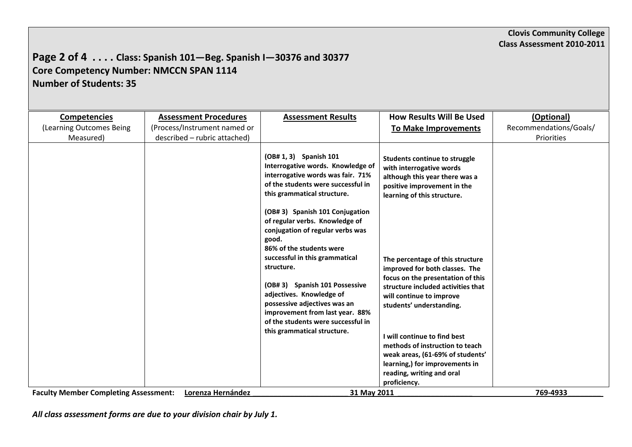## **Page 2 of 4 . . . . Class: Spanish 101—Beg. Spanish I—30376 and 30377 Core Competency Number: NMCCN SPAN 1114 Number of Students: 35**

| <b>Competencies</b>                          | <b>Assessment Procedures</b> | <b>Assessment Results</b>                                                                                                                                                                                                                                                                                                                                                                      | <b>How Results Will Be Used</b>                                                                                                                                                                                                                                                                                                                                                             | (Optional)             |
|----------------------------------------------|------------------------------|------------------------------------------------------------------------------------------------------------------------------------------------------------------------------------------------------------------------------------------------------------------------------------------------------------------------------------------------------------------------------------------------|---------------------------------------------------------------------------------------------------------------------------------------------------------------------------------------------------------------------------------------------------------------------------------------------------------------------------------------------------------------------------------------------|------------------------|
| (Learning Outcomes Being                     | (Process/Instrument named or |                                                                                                                                                                                                                                                                                                                                                                                                | <b>To Make Improvements</b>                                                                                                                                                                                                                                                                                                                                                                 | Recommendations/Goals/ |
| Measured)                                    | described - rubric attached) |                                                                                                                                                                                                                                                                                                                                                                                                |                                                                                                                                                                                                                                                                                                                                                                                             | Priorities             |
|                                              |                              | (OB# 1, 3) Spanish 101<br>Interrogative words. Knowledge of<br>interrogative words was fair. 71%<br>of the students were successful in<br>this grammatical structure.                                                                                                                                                                                                                          | Students continue to struggle<br>with interrogative words<br>although this year there was a<br>positive improvement in the<br>learning of this structure.                                                                                                                                                                                                                                   |                        |
|                                              |                              | (OB#3) Spanish 101 Conjugation<br>of regular verbs. Knowledge of<br>conjugation of regular verbs was<br>good.<br>86% of the students were<br>successful in this grammatical<br>structure.<br>(OB#3) Spanish 101 Possessive<br>adjectives. Knowledge of<br>possessive adjectives was an<br>improvement from last year. 88%<br>of the students were successful in<br>this grammatical structure. | The percentage of this structure<br>improved for both classes. The<br>focus on the presentation of this<br>structure included activities that<br>will continue to improve<br>students' understanding.<br>I will continue to find best<br>methods of instruction to teach<br>weak areas, (61-69% of students'<br>learning,) for improvements in<br>reading, writing and oral<br>proficiency. |                        |
| <b>Faculty Member Completing Assessment:</b> | Lorenza Hernández            | 31 May 2011                                                                                                                                                                                                                                                                                                                                                                                    |                                                                                                                                                                                                                                                                                                                                                                                             | 769-4933               |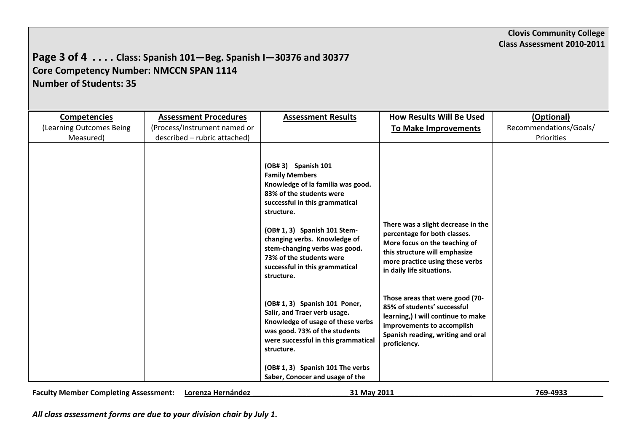## **Page 3 of 4 . . . . Class: Spanish 101—Beg. Spanish I—30376 and 30377 Core Competency Number: NMCCN SPAN 1114 Number of Students: 35**

| <b>Competencies</b><br>(Learning Outcomes Being<br>Measured) | <b>Assessment Procedures</b><br>(Process/Instrument named or<br>described - rubric attached) | <b>Assessment Results</b>                                                                                                                                                                                                                                                                                                                    | <b>How Results Will Be Used</b><br><b>To Make Improvements</b>                                                                                                                                       | (Optional)<br>Recommendations/Goals/<br><b>Priorities</b> |
|--------------------------------------------------------------|----------------------------------------------------------------------------------------------|----------------------------------------------------------------------------------------------------------------------------------------------------------------------------------------------------------------------------------------------------------------------------------------------------------------------------------------------|------------------------------------------------------------------------------------------------------------------------------------------------------------------------------------------------------|-----------------------------------------------------------|
|                                                              |                                                                                              | $(OB# 3)$ Spanish 101<br><b>Family Members</b><br>Knowledge of la familia was good.<br>83% of the students were<br>successful in this grammatical<br>structure.<br>(OB# 1, 3) Spanish 101 Stem-<br>changing verbs. Knowledge of<br>stem-changing verbs was good.<br>73% of the students were<br>successful in this grammatical<br>structure. | There was a slight decrease in the<br>percentage for both classes.<br>More focus on the teaching of<br>this structure will emphasize<br>more practice using these verbs<br>in daily life situations. |                                                           |
|                                                              |                                                                                              | (OB# 1, 3) Spanish 101 Poner,<br>Salir, and Traer verb usage.<br>Knowledge of usage of these verbs<br>was good. 73% of the students<br>were successful in this grammatical<br>structure.<br>(OB# 1, 3) Spanish 101 The verbs<br>Saber, Conocer and usage of the                                                                              | Those areas that were good (70-<br>85% of students' successful<br>learning,) I will continue to make<br>improvements to accomplish<br>Spanish reading, writing and oral<br>proficiency.              |                                                           |

**Faculty Member Completing Assessment: Lorenza Hernández \_\_\_\_\_\_\_\_\_\_\_\_\_\_\_\_\_\_\_\_\_\_\_ 31 May 2011 \_\_\_\_\_\_\_\_\_\_\_\_\_\_\_\_\_\_ 769-4933\_\_\_\_\_\_\_\_**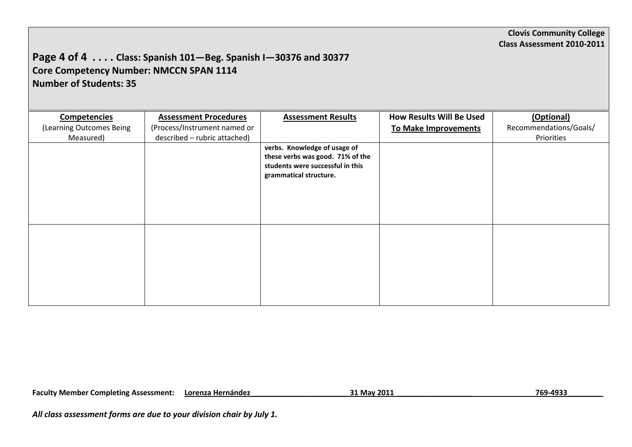## **Page 4 of 4 . . . . Class: Spanish 101—Beg. Spanish I—30376 and 30377 Core Competency Number: NMCCN SPAN 1114 Number of Students: 35**

| <b>Competencies</b>      | <b>Assessment Procedures</b> | <b>Assessment Results</b>                                                                                                      | <b>How Results Will Be Used</b> | (Optional)             |
|--------------------------|------------------------------|--------------------------------------------------------------------------------------------------------------------------------|---------------------------------|------------------------|
| (Learning Outcomes Being | (Process/Instrument named or |                                                                                                                                | <b>To Make Improvements</b>     | Recommendations/Goals/ |
| Measured)                | described - rubric attached) |                                                                                                                                |                                 | Priorities             |
|                          |                              | verbs. Knowledge of usage of<br>these verbs was good. 71% of the<br>students were successful in this<br>grammatical structure. |                                 |                        |
|                          |                              |                                                                                                                                |                                 |                        |

**Faculty Member Completing Assessment: Lorenza Hernández \_\_\_\_\_\_\_\_\_\_\_\_\_\_\_\_\_\_\_\_\_\_\_ 31 May 2011 \_\_\_\_\_\_\_\_\_\_\_\_\_\_\_\_\_\_ 769-4933\_\_\_\_\_\_\_\_**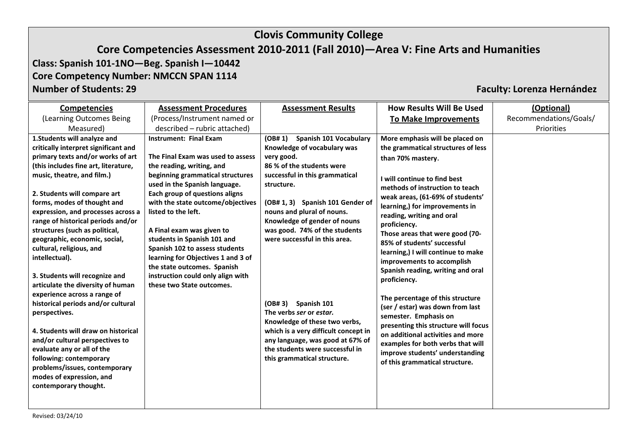**Core Competencies Assessment 2010-2011 (Fall 2010)—Area V: Fine Arts and Humanities**

**Class: Spanish 101-1NO—Beg. Spanish I—10442 Core Competency Number: NMCCN SPAN 1114**

**Number of Students: 29 Faculty: Lorenza Hernández** 

| <b>Competencies</b>                                                  | <b>Assessment Procedures</b>       | <b>Assessment Results</b>                                     | <b>How Results Will Be Used</b>      | (Optional)             |
|----------------------------------------------------------------------|------------------------------------|---------------------------------------------------------------|--------------------------------------|------------------------|
| (Learning Outcomes Being)                                            | (Process/Instrument named or       |                                                               | <b>To Make Improvements</b>          | Recommendations/Goals/ |
| Measured)                                                            | described - rubric attached)       |                                                               |                                      | Priorities             |
| 1. Students will analyze and                                         | <b>Instrument: Final Exam</b>      | Spanish 101 Vocabulary<br>(OB# 1)                             | More emphasis will be placed on      |                        |
| critically interpret significant and                                 |                                    | Knowledge of vocabulary was                                   | the grammatical structures of less   |                        |
| primary texts and/or works of art                                    | The Final Exam was used to assess  | very good.                                                    | than 70% mastery.                    |                        |
| (this includes fine art, literature,                                 | the reading, writing, and          | 86 % of the students were                                     |                                      |                        |
| music, theatre, and film.)                                           | beginning grammatical structures   | successful in this grammatical                                | I will continue to find best         |                        |
|                                                                      | used in the Spanish language.      | structure.                                                    | methods of instruction to teach      |                        |
| 2. Students will compare art                                         | Each group of questions aligns     |                                                               | weak areas, (61-69% of students'     |                        |
| forms, modes of thought and                                          | with the state outcome/objectives  | (OB# 1, 3) Spanish 101 Gender of                              | learning,) for improvements in       |                        |
| expression, and processes across a                                   | listed to the left.                | nouns and plural of nouns.                                    | reading, writing and oral            |                        |
| range of historical periods and/or<br>structures (such as political, | A Final exam was given to          | Knowledge of gender of nouns<br>was good. 74% of the students | proficiency.                         |                        |
| geographic, economic, social,                                        | students in Spanish 101 and        | were successful in this area.                                 | Those areas that were good (70-      |                        |
| cultural, religious, and                                             | Spanish 102 to assess students     |                                                               | 85% of students' successful          |                        |
| intellectual).                                                       | learning for Objectives 1 and 3 of |                                                               | learning,) I will continue to make   |                        |
|                                                                      | the state outcomes. Spanish        |                                                               | improvements to accomplish           |                        |
| 3. Students will recognize and                                       | instruction could only align with  |                                                               | Spanish reading, writing and oral    |                        |
| articulate the diversity of human                                    | these two State outcomes.          |                                                               | proficiency.                         |                        |
| experience across a range of                                         |                                    |                                                               | The percentage of this structure     |                        |
| historical periods and/or cultural                                   |                                    | (OB# 3)<br>Spanish 101                                        | (ser / estar) was down from last     |                        |
| perspectives.                                                        |                                    | The verbs ser or estar.                                       | semester. Emphasis on                |                        |
|                                                                      |                                    | Knowledge of these two verbs,                                 | presenting this structure will focus |                        |
| 4. Students will draw on historical                                  |                                    | which is a very difficult concept in                          | on additional activities and more    |                        |
| and/or cultural perspectives to                                      |                                    | any language, was good at 67% of                              | examples for both verbs that will    |                        |
| evaluate any or all of the                                           |                                    | the students were successful in                               | improve students' understanding      |                        |
| following: contemporary                                              |                                    | this grammatical structure.                                   | of this grammatical structure.       |                        |
| problems/issues, contemporary                                        |                                    |                                                               |                                      |                        |
| modes of expression, and                                             |                                    |                                                               |                                      |                        |
| contemporary thought.                                                |                                    |                                                               |                                      |                        |
|                                                                      |                                    |                                                               |                                      |                        |
|                                                                      |                                    |                                                               |                                      |                        |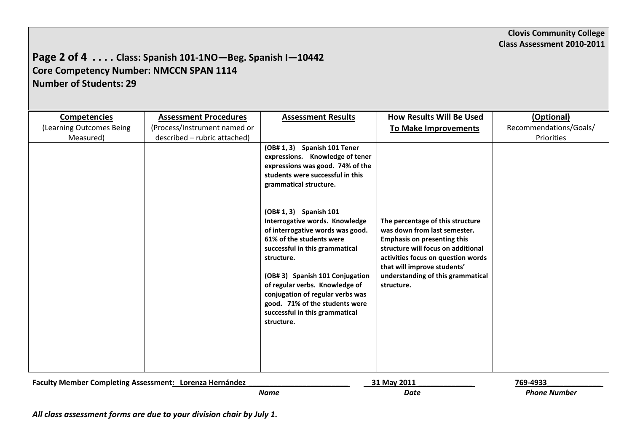## **Page 2 of 4 . . . . Class: Spanish 101-1NO—Beg. Spanish I—10442 Core Competency Number: NMCCN SPAN 1114 Number of Students: 29**

| <b>Competencies</b>                                     | <b>Assessment Procedures</b> | <b>Assessment Results</b>                                                                                                                                                                                                                                                                                                                                          | <b>How Results Will Be Used</b>                                                                                                                                                                                                                                      | (Optional)             |
|---------------------------------------------------------|------------------------------|--------------------------------------------------------------------------------------------------------------------------------------------------------------------------------------------------------------------------------------------------------------------------------------------------------------------------------------------------------------------|----------------------------------------------------------------------------------------------------------------------------------------------------------------------------------------------------------------------------------------------------------------------|------------------------|
| (Learning Outcomes Being                                | (Process/Instrument named or |                                                                                                                                                                                                                                                                                                                                                                    | To Make Improvements                                                                                                                                                                                                                                                 | Recommendations/Goals/ |
| Measured)                                               | described - rubric attached) |                                                                                                                                                                                                                                                                                                                                                                    |                                                                                                                                                                                                                                                                      | Priorities             |
|                                                         |                              | (OB# 1, 3) Spanish 101 Tener<br>expressions. Knowledge of tener<br>expressions was good. 74% of the<br>students were successful in this<br>grammatical structure.                                                                                                                                                                                                  |                                                                                                                                                                                                                                                                      |                        |
|                                                         |                              | (OB# 1, 3) Spanish 101<br>Interrogative words. Knowledge<br>of interrogative words was good.<br>61% of the students were<br>successful in this grammatical<br>structure.<br>(OB#3) Spanish 101 Conjugation<br>of regular verbs. Knowledge of<br>conjugation of regular verbs was<br>good. 71% of the students were<br>successful in this grammatical<br>structure. | The percentage of this structure<br>was down from last semester.<br><b>Emphasis on presenting this</b><br>structure will focus on additional<br>activities focus on question words<br>that will improve students'<br>understanding of this grammatical<br>structure. |                        |
|                                                         |                              |                                                                                                                                                                                                                                                                                                                                                                    | 31 May 2011                                                                                                                                                                                                                                                          | 769-4933               |
| Faculty Member Completing Assessment: Lorenza Hernández |                              | <b>Name</b>                                                                                                                                                                                                                                                                                                                                                        | <b>Date</b>                                                                                                                                                                                                                                                          | <b>Phone Number</b>    |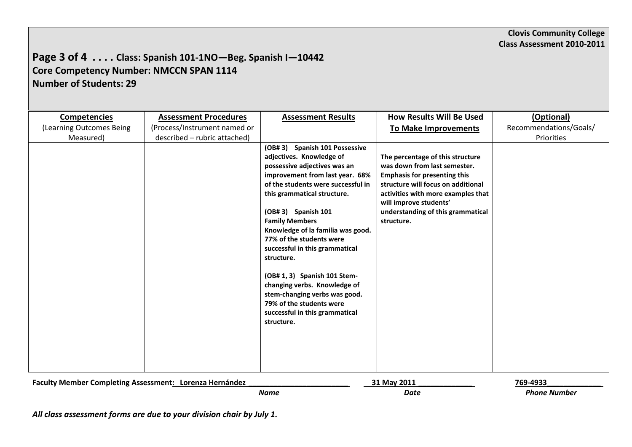## **Page 3 of 4 . . . . Class: Spanish 101-1NO—Beg. Spanish I—10442 Core Competency Number: NMCCN SPAN 1114 Number of Students: 29**

| <b>Competencies</b>                                     | <b>Assessment Procedures</b> | <b>Assessment Results</b>          | <b>How Results Will Be Used</b>     | (Optional)             |
|---------------------------------------------------------|------------------------------|------------------------------------|-------------------------------------|------------------------|
| (Learning Outcomes Being                                | (Process/Instrument named or |                                    | <b>To Make Improvements</b>         | Recommendations/Goals/ |
| Measured)                                               | described - rubric attached) |                                    |                                     | Priorities             |
|                                                         |                              | (OB#3) Spanish 101 Possessive      |                                     |                        |
|                                                         |                              | adjectives. Knowledge of           | The percentage of this structure    |                        |
|                                                         |                              | possessive adjectives was an       | was down from last semester.        |                        |
|                                                         |                              | improvement from last year. 68%    | <b>Emphasis for presenting this</b> |                        |
|                                                         |                              | of the students were successful in | structure will focus on additional  |                        |
|                                                         |                              | this grammatical structure.        | activities with more examples that  |                        |
|                                                         |                              |                                    | will improve students'              |                        |
|                                                         |                              | (OB#3) Spanish 101                 | understanding of this grammatical   |                        |
|                                                         |                              | <b>Family Members</b>              | structure.                          |                        |
|                                                         |                              | Knowledge of la familia was good.  |                                     |                        |
|                                                         |                              | 77% of the students were           |                                     |                        |
|                                                         |                              | successful in this grammatical     |                                     |                        |
|                                                         |                              | structure.                         |                                     |                        |
|                                                         |                              |                                    |                                     |                        |
|                                                         |                              | (OB# 1, 3) Spanish 101 Stem-       |                                     |                        |
|                                                         |                              | changing verbs. Knowledge of       |                                     |                        |
|                                                         |                              | stem-changing verbs was good.      |                                     |                        |
|                                                         |                              | 79% of the students were           |                                     |                        |
|                                                         |                              | successful in this grammatical     |                                     |                        |
|                                                         |                              | structure.                         |                                     |                        |
|                                                         |                              |                                    |                                     |                        |
|                                                         |                              |                                    |                                     |                        |
|                                                         |                              |                                    |                                     |                        |
|                                                         |                              |                                    |                                     |                        |
|                                                         |                              |                                    |                                     |                        |
| Faculty Member Completing Assessment: Lorenza Hernández |                              |                                    | 31 May 2011                         | 769-4933               |
|                                                         |                              | <b>Name</b>                        | <b>Date</b>                         | <b>Phone Number</b>    |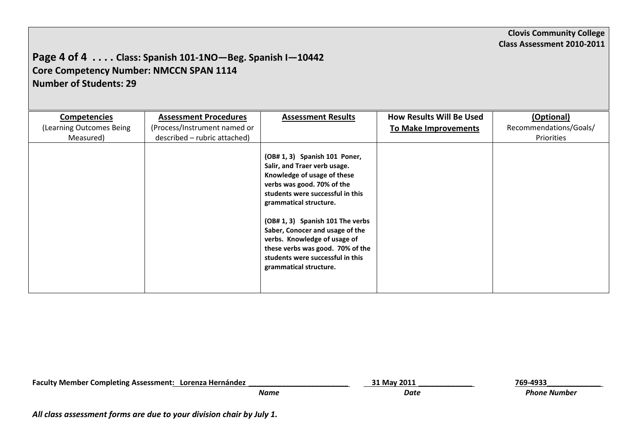## **Page 4 of 4 . . . . Class: Spanish 101-1NO—Beg. Spanish I—10442 Core Competency Number: NMCCN SPAN 1114 Number of Students: 29**

| <b>Competencies</b><br>(Learning Outcomes Being<br>Measured) | <b>Assessment Procedures</b><br>(Process/Instrument named or<br>described - rubric attached) | <b>Assessment Results</b>                                                                                                                                                                                                                                                                                                                                                                         | <b>How Results Will Be Used</b><br>To Make Improvements | (Optional)<br>Recommendations/Goals/<br>Priorities |
|--------------------------------------------------------------|----------------------------------------------------------------------------------------------|---------------------------------------------------------------------------------------------------------------------------------------------------------------------------------------------------------------------------------------------------------------------------------------------------------------------------------------------------------------------------------------------------|---------------------------------------------------------|----------------------------------------------------|
|                                                              |                                                                                              | (OB# 1, 3) Spanish 101 Poner,<br>Salir, and Traer verb usage.<br>Knowledge of usage of these<br>verbs was good. 70% of the<br>students were successful in this<br>grammatical structure.<br>(OB# 1, 3) Spanish 101 The verbs<br>Saber, Conocer and usage of the<br>verbs. Knowledge of usage of<br>these verbs was good. 70% of the<br>students were successful in this<br>grammatical structure. |                                                         |                                                    |

| Faculty Member Completing Assessment: Lorenza Hernández |             | 31 May 2011 | 769-4933            |
|---------------------------------------------------------|-------------|-------------|---------------------|
|                                                         | <b>Name</b> | Date        | <b>Phone Number</b> |
|                                                         |             |             |                     |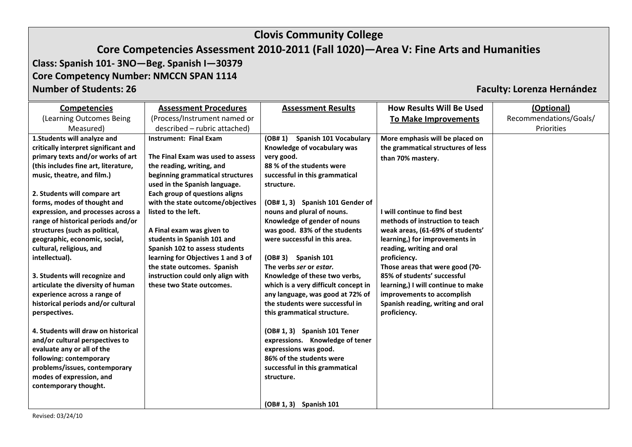**Core Competencies Assessment 2010-2011 (Fall 1020)—Area V: Fine Arts and Humanities**

**Class: Spanish 101- 3NO—Beg. Spanish I—30379 Core Competency Number: NMCCN SPAN 1114**

**Number of Students: 26 Faculty: Lorenza Hernández** 

| <b>Competencies</b>                  | <b>Assessment Procedures</b>                                      | <b>Assessment Results</b>            | <b>How Results Will Be Used</b>                 | (Optional)             |
|--------------------------------------|-------------------------------------------------------------------|--------------------------------------|-------------------------------------------------|------------------------|
| (Learning Outcomes Being             | (Process/Instrument named or                                      |                                      | <b>To Make Improvements</b>                     | Recommendations/Goals/ |
| Measured)                            | described - rubric attached)                                      |                                      |                                                 | Priorities             |
| 1. Students will analyze and         | <b>Instrument: Final Exam</b>                                     | Spanish 101 Vocabulary<br>(OB#1)     | More emphasis will be placed on                 |                        |
| critically interpret significant and |                                                                   | Knowledge of vocabulary was          | the grammatical structures of less              |                        |
| primary texts and/or works of art    | The Final Exam was used to assess                                 | very good.                           | than 70% mastery.                               |                        |
| (this includes fine art, literature, | the reading, writing, and                                         | 88 % of the students were            |                                                 |                        |
| music, theatre, and film.)           | beginning grammatical structures                                  | successful in this grammatical       |                                                 |                        |
|                                      | used in the Spanish language.                                     | structure.                           |                                                 |                        |
| 2. Students will compare art         | Each group of questions aligns                                    |                                      |                                                 |                        |
| forms, modes of thought and          | with the state outcome/objectives                                 | (OB# 1, 3) Spanish 101 Gender of     |                                                 |                        |
| expression, and processes across a   | listed to the left.                                               | nouns and plural of nouns.           | I will continue to find best                    |                        |
| range of historical periods and/or   |                                                                   | Knowledge of gender of nouns         | methods of instruction to teach                 |                        |
| structures (such as political,       | A Final exam was given to                                         | was good. 83% of the students        | weak areas, (61-69% of students'                |                        |
| geographic, economic, social,        | students in Spanish 101 and                                       | were successful in this area.        | learning,) for improvements in                  |                        |
| cultural, religious, and             | Spanish 102 to assess students                                    | (OB#3) Spanish 101                   | reading, writing and oral                       |                        |
| intellectual).                       | learning for Objectives 1 and 3 of<br>the state outcomes. Spanish | The verbs ser or estar.              | proficiency.<br>Those areas that were good (70- |                        |
| 3. Students will recognize and       | instruction could only align with                                 | Knowledge of these two verbs,        | 85% of students' successful                     |                        |
| articulate the diversity of human    | these two State outcomes.                                         | which is a very difficult concept in | learning,) I will continue to make              |                        |
| experience across a range of         |                                                                   | any language, was good at 72% of     | improvements to accomplish                      |                        |
| historical periods and/or cultural   |                                                                   | the students were successful in      | Spanish reading, writing and oral               |                        |
| perspectives.                        |                                                                   | this grammatical structure.          | proficiency.                                    |                        |
|                                      |                                                                   |                                      |                                                 |                        |
| 4. Students will draw on historical  |                                                                   | (OB# 1, 3) Spanish 101 Tener         |                                                 |                        |
| and/or cultural perspectives to      |                                                                   | expressions. Knowledge of tener      |                                                 |                        |
| evaluate any or all of the           |                                                                   | expressions was good.                |                                                 |                        |
| following: contemporary              |                                                                   | 86% of the students were             |                                                 |                        |
| problems/issues, contemporary        |                                                                   | successful in this grammatical       |                                                 |                        |
| modes of expression, and             |                                                                   | structure.                           |                                                 |                        |
| contemporary thought.                |                                                                   |                                      |                                                 |                        |
|                                      |                                                                   |                                      |                                                 |                        |
|                                      |                                                                   | (OB# 1, 3) Spanish 101               |                                                 |                        |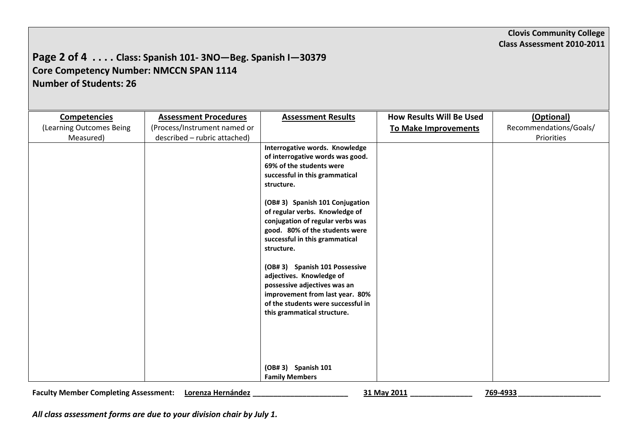## **Page 2 of 4 . . . . Class: Spanish 101- 3NO—Beg. Spanish I—30379 Core Competency Number: NMCCN SPAN 1114 Number of Students: 26**

| <b>Competencies</b>                          | <b>Assessment Procedures</b> | <b>Assessment Results</b>                                    | <b>How Results Will Be Used</b> | (Optional)             |
|----------------------------------------------|------------------------------|--------------------------------------------------------------|---------------------------------|------------------------|
| (Learning Outcomes Being                     | (Process/Instrument named or |                                                              | <b>To Make Improvements</b>     | Recommendations/Goals/ |
| Measured)                                    | described - rubric attached) |                                                              |                                 | Priorities             |
|                                              |                              | Interrogative words. Knowledge                               |                                 |                        |
|                                              |                              | of interrogative words was good.<br>69% of the students were |                                 |                        |
|                                              |                              | successful in this grammatical                               |                                 |                        |
|                                              |                              | structure.                                                   |                                 |                        |
|                                              |                              |                                                              |                                 |                        |
|                                              |                              | (OB#3) Spanish 101 Conjugation                               |                                 |                        |
|                                              |                              | of regular verbs. Knowledge of                               |                                 |                        |
|                                              |                              | conjugation of regular verbs was                             |                                 |                        |
|                                              |                              | good. 80% of the students were                               |                                 |                        |
|                                              |                              | successful in this grammatical                               |                                 |                        |
|                                              |                              | structure.                                                   |                                 |                        |
|                                              |                              |                                                              |                                 |                        |
|                                              |                              | (OB#3) Spanish 101 Possessive<br>adjectives. Knowledge of    |                                 |                        |
|                                              |                              | possessive adjectives was an                                 |                                 |                        |
|                                              |                              | improvement from last year. 80%                              |                                 |                        |
|                                              |                              | of the students were successful in                           |                                 |                        |
|                                              |                              | this grammatical structure.                                  |                                 |                        |
|                                              |                              |                                                              |                                 |                        |
|                                              |                              |                                                              |                                 |                        |
|                                              |                              |                                                              |                                 |                        |
|                                              |                              |                                                              |                                 |                        |
|                                              |                              |                                                              |                                 |                        |
|                                              |                              | (OB#3) Spanish 101                                           |                                 |                        |
|                                              |                              | <b>Family Members</b>                                        |                                 |                        |
| <b>Faculty Member Completing Assessment:</b> | Lorenza Hernández            |                                                              | 31 May 2011                     | 769-4933               |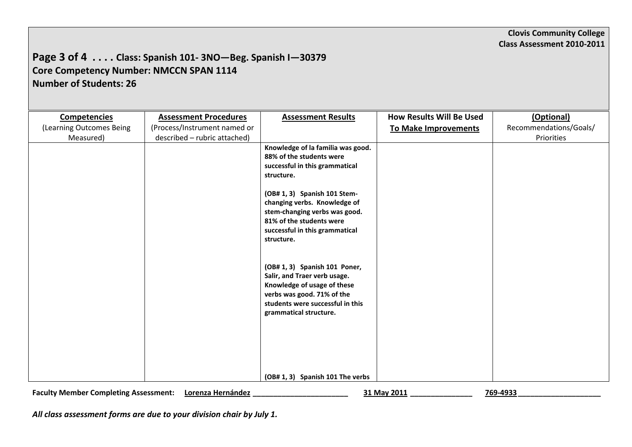## **Page 3 of 4 . . . . Class: Spanish 101- 3NO—Beg. Spanish I—30379 Core Competency Number: NMCCN SPAN 1114 Number of Students: 26**

| <b>Competencies</b>                          | <b>Assessment Procedures</b> | <b>Assessment Results</b>         | <b>How Results Will Be Used</b> | (Optional)             |
|----------------------------------------------|------------------------------|-----------------------------------|---------------------------------|------------------------|
| (Learning Outcomes Being                     | (Process/Instrument named or |                                   | <b>To Make Improvements</b>     | Recommendations/Goals/ |
| Measured)                                    | described - rubric attached) |                                   |                                 | Priorities             |
|                                              |                              | Knowledge of la familia was good. |                                 |                        |
|                                              |                              | 88% of the students were          |                                 |                        |
|                                              |                              | successful in this grammatical    |                                 |                        |
|                                              |                              | structure.                        |                                 |                        |
|                                              |                              | (OB# 1, 3) Spanish 101 Stem-      |                                 |                        |
|                                              |                              | changing verbs. Knowledge of      |                                 |                        |
|                                              |                              | stem-changing verbs was good.     |                                 |                        |
|                                              |                              | 81% of the students were          |                                 |                        |
|                                              |                              | successful in this grammatical    |                                 |                        |
|                                              |                              | structure.                        |                                 |                        |
|                                              |                              |                                   |                                 |                        |
|                                              |                              | (OB# 1, 3) Spanish 101 Poner,     |                                 |                        |
|                                              |                              | Salir, and Traer verb usage.      |                                 |                        |
|                                              |                              | Knowledge of usage of these       |                                 |                        |
|                                              |                              | verbs was good. 71% of the        |                                 |                        |
|                                              |                              | students were successful in this  |                                 |                        |
|                                              |                              | grammatical structure.            |                                 |                        |
|                                              |                              |                                   |                                 |                        |
|                                              |                              |                                   |                                 |                        |
|                                              |                              |                                   |                                 |                        |
|                                              |                              |                                   |                                 |                        |
|                                              |                              |                                   |                                 |                        |
|                                              |                              | (OB# 1, 3) Spanish 101 The verbs  |                                 |                        |
| <b>Faculty Member Completing Assessment:</b> | Lorenza Hernández            |                                   | 31 May 2011                     | 769-4933               |